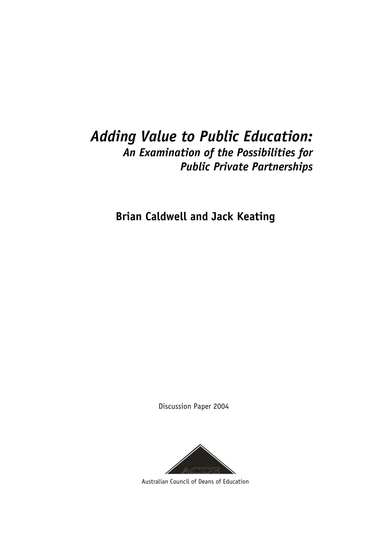# *Adding Value to Public Education: An Examination of the Possibilities for Public Private Partnerships*

**Brian Caldwell and Jack Keating** 

Discussion Paper 2004



Australian Council of Deans of Education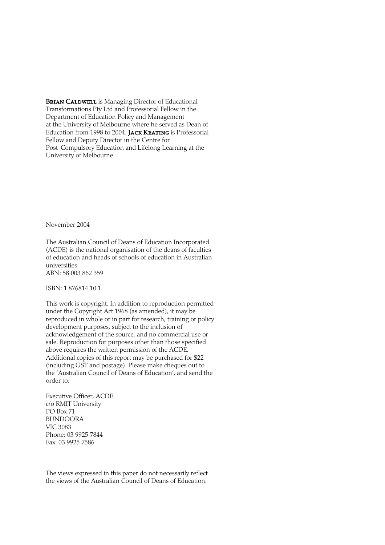**BRIAN CALDWELL** is Managing Director of Educational Transformations Pty Ltd and Professorial Fellow in the Department of Education Policy and Management at the University of Melbourne where he served as Dean of Education from 1998 to 2004. **JACK KEATING** is Professorial Fellow and Deputy Director in the Centre for Post-Compulsory Education and Lifelong Learning at the University of Melbourne.

November 2004

The Australian Council of Deans of Education Incorporated (ACDE) is the national organisation of the deans of faculties of education and heads of schools of education in Australian universities. ABN: 58 003 862 359

ISBN: 1 876814 10 1

This work is copyright. In addition to reproduction permitted under the Copyright Act 1968 (as amended), it may be reproduced in whole or in part for research, training or policy development purposes, subject to the inclusion of acknowledgement of the source, and no commercial use or sale. Reproduction for purposes other than those specified above requires the written permission of the ACDE. Additional copies of this report may be purchased for \$22 (including GST and postage). Please make cheques out to the 'Australian Council of Deans of Education', and send the order to:

Executive Officer, ACDE c/o RMIT University PO Box 71 BUNDOORA VIC 3083 Phone: 03 9925 7844 Fax: 03 9925 7586

The views expressed in this paper do not necessarily reflect the views of the Australian Council of Deans of Education.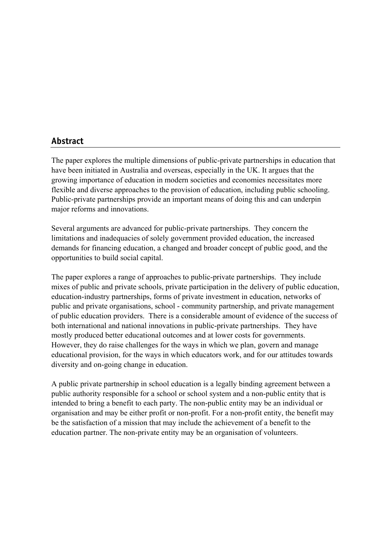### **Abstract**

The paper explores the multiple dimensions of public-private partnerships in education that have been initiated in Australia and overseas, especially in the UK. It argues that the growing importance of education in modern societies and economies necessitates more flexible and diverse approaches to the provision of education, including public schooling. Public-private partnerships provide an important means of doing this and can underpin major reforms and innovations.

Several arguments are advanced for public-private partnerships. They concern the limitations and inadequacies of solely government provided education, the increased demands for financing education, a changed and broader concept of public good, and the opportunities to build social capital.

The paper explores a range of approaches to public-private partnerships. They include mixes of public and private schools, private participation in the delivery of public education, education-industry partnerships, forms of private investment in education, networks of public and private organisations, school - community partnership, and private management of public education providers. There is a considerable amount of evidence of the success of both international and national innovations in public-private partnerships. They have mostly produced better educational outcomes and at lower costs for governments. However, they do raise challenges for the ways in which we plan, govern and manage educational provision, for the ways in which educators work, and for our attitudes towards diversity and on-going change in education.

A public private partnership in school education is a legally binding agreement between a public authority responsible for a school or school system and a non-public entity that is intended to bring a benefit to each party. The non-public entity may be an individual or organisation and may be either profit or non-profit. For a non-profit entity, the benefit may be the satisfaction of a mission that may include the achievement of a benefit to the education partner. The non-private entity may be an organisation of volunteers.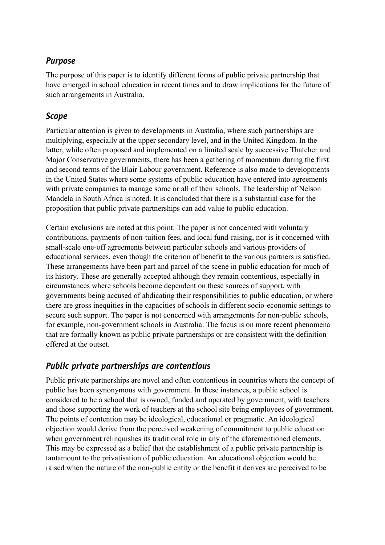## *Purpose*

The purpose of this paper is to identify different forms of public private partnership that have emerged in school education in recent times and to draw implications for the future of such arrangements in Australia.

## *Scope*

Particular attention is given to developments in Australia, where such partnerships are multiplying, especially at the upper secondary level, and in the United Kingdom. In the latter, while often proposed and implemented on a limited scale by successive Thatcher and Major Conservative governments, there has been a gathering of momentum during the first and second terms of the Blair Labour government. Reference is also made to developments in the United States where some systems of public education have entered into agreements with private companies to manage some or all of their schools. The leadership of Nelson Mandela in South Africa is noted. It is concluded that there is a substantial case for the proposition that public private partnerships can add value to public education.

Certain exclusions are noted at this point. The paper is not concerned with voluntary contributions, payments of non-tuition fees, and local fund-raising, nor is it concerned with small-scale one-off agreements between particular schools and various providers of educational services, even though the criterion of benefit to the various partners is satisfied. These arrangements have been part and parcel of the scene in public education for much of its history. These are generally accepted although they remain contentious, especially in circumstances where schools become dependent on these sources of support, with governments being accused of abdicating their responsibilities to public education, or where there are gross inequities in the capacities of schools in different socio-economic settings to secure such support. The paper is not concerned with arrangements for non-public schools, for example, non-government schools in Australia. The focus is on more recent phenomena that are formally known as public private partnerships or are consistent with the definition offered at the outset.

# *Public private partnerships are contentious*

Public private partnerships are novel and often contentious in countries where the concept of public has been synonymous with government. In these instances, a public school is considered to be a school that is owned, funded and operated by government, with teachers and those supporting the work of teachers at the school site being employees of government. The points of contention may be ideological, educational or pragmatic. An ideological objection would derive from the perceived weakening of commitment to public education when government relinquishes its traditional role in any of the aforementioned elements. This may be expressed as a belief that the establishment of a public private partnership is tantamount to the privatisation of public education. An educational objection would be raised when the nature of the non-public entity or the benefit it derives are perceived to be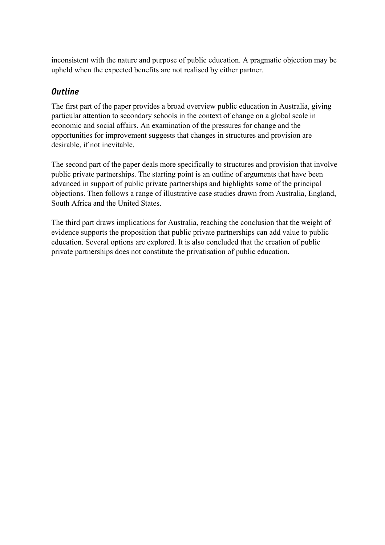inconsistent with the nature and purpose of public education. A pragmatic objection may be upheld when the expected benefits are not realised by either partner.

## *Outline*

The first part of the paper provides a broad overview public education in Australia, giving particular attention to secondary schools in the context of change on a global scale in economic and social affairs. An examination of the pressures for change and the opportunities for improvement suggests that changes in structures and provision are desirable, if not inevitable.

The second part of the paper deals more specifically to structures and provision that involve public private partnerships. The starting point is an outline of arguments that have been advanced in support of public private partnerships and highlights some of the principal objections. Then follows a range of illustrative case studies drawn from Australia, England, South Africa and the United States.

The third part draws implications for Australia, reaching the conclusion that the weight of evidence supports the proposition that public private partnerships can add value to public education. Several options are explored. It is also concluded that the creation of public private partnerships does not constitute the privatisation of public education.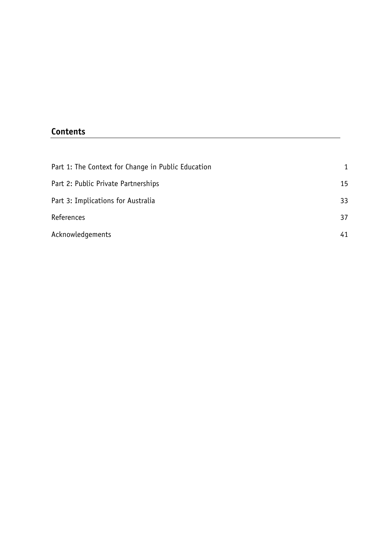## **Contents**

| Part 1: The Context for Change in Public Education |    |  |
|----------------------------------------------------|----|--|
| Part 2: Public Private Partnerships                | 15 |  |
| Part 3: Implications for Australia                 | 33 |  |
| References                                         | 37 |  |
| Acknowledgements                                   | 41 |  |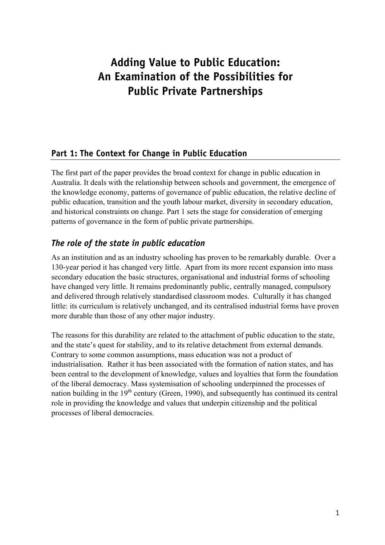# **Adding Value to Public Education: An Examination of the Possibilities for Public Private Partnerships**

## **Part 1: The Context for Change in Public Education**

The first part of the paper provides the broad context for change in public education in Australia. It deals with the relationship between schools and government, the emergence of the knowledge economy, patterns of governance of public education, the relative decline of public education, transition and the youth labour market, diversity in secondary education, and historical constraints on change. Part 1 sets the stage for consideration of emerging patterns of governance in the form of public private partnerships.

# *The role of the state in public education*

As an institution and as an industry schooling has proven to be remarkably durable. Over a 130-year period it has changed very little. Apart from its more recent expansion into mass secondary education the basic structures, organisational and industrial forms of schooling have changed very little. It remains predominantly public, centrally managed, compulsory and delivered through relatively standardised classroom modes. Culturally it has changed little: its curriculum is relatively unchanged, and its centralised industrial forms have proven more durable than those of any other major industry.

The reasons for this durability are related to the attachment of public education to the state, and the state's quest for stability, and to its relative detachment from external demands. Contrary to some common assumptions, mass education was not a product of industrialisation. Rather it has been associated with the formation of nation states, and has been central to the development of knowledge, values and loyalties that form the foundation of the liberal democracy. Mass systemisation of schooling underpinned the processes of nation building in the  $19<sup>th</sup>$  century (Green, 1990), and subsequently has continued its central role in providing the knowledge and values that underpin citizenship and the political processes of liberal democracies.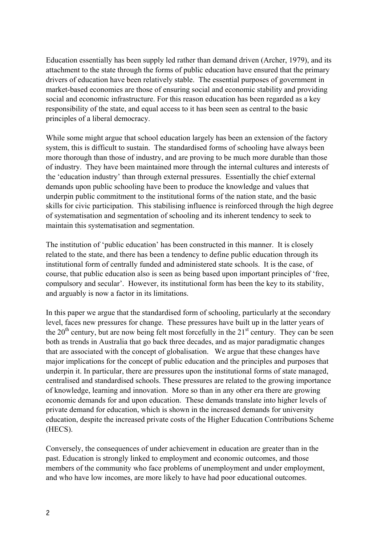Education essentially has been supply led rather than demand driven (Archer, 1979), and its attachment to the state through the forms of public education have ensured that the primary drivers of education have been relatively stable. The essential purposes of government in market-based economies are those of ensuring social and economic stability and providing social and economic infrastructure. For this reason education has been regarded as a key responsibility of the state, and equal access to it has been seen as central to the basic principles of a liberal democracy.

While some might argue that school education largely has been an extension of the factory system, this is difficult to sustain. The standardised forms of schooling have always been more thorough than those of industry, and are proving to be much more durable than those of industry. They have been maintained more through the internal cultures and interests of the 'education industry' than through external pressures. Essentially the chief external demands upon public schooling have been to produce the knowledge and values that underpin public commitment to the institutional forms of the nation state, and the basic skills for civic participation. This stabilising influence is reinforced through the high degree of systematisation and segmentation of schooling and its inherent tendency to seek to maintain this systematisation and segmentation.

The institution of 'public education' has been constructed in this manner. It is closely related to the state, and there has been a tendency to define public education through its institutional form of centrally funded and administered state schools. It is the case, of course, that public education also is seen as being based upon important principles of 'free, compulsory and secular'. However, its institutional form has been the key to its stability, and arguably is now a factor in its limitations.

In this paper we argue that the standardised form of schooling, particularly at the secondary level, faces new pressures for change. These pressures have built up in the latter years of the  $20<sup>th</sup>$  century, but are now being felt most forcefully in the  $21<sup>st</sup>$  century. They can be seen both as trends in Australia that go back three decades, and as major paradigmatic changes that are associated with the concept of globalisation. We argue that these changes have major implications for the concept of public education and the principles and purposes that underpin it. In particular, there are pressures upon the institutional forms of state managed, centralised and standardised schools. These pressures are related to the growing importance of knowledge, learning and innovation. More so than in any other era there are growing economic demands for and upon education. These demands translate into higher levels of private demand for education, which is shown in the increased demands for university education, despite the increased private costs of the Higher Education Contributions Scheme (HECS).

Conversely, the consequences of under achievement in education are greater than in the past. Education is strongly linked to employment and economic outcomes, and those members of the community who face problems of unemployment and under employment, and who have low incomes, are more likely to have had poor educational outcomes.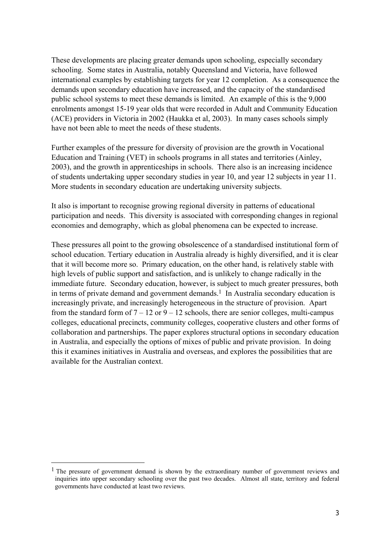These developments are placing greater demands upon schooling, especially secondary schooling. Some states in Australia, notably Queensland and Victoria, have followed international examples by establishing targets for year 12 completion. As a consequence the demands upon secondary education have increased, and the capacity of the standardised public school systems to meet these demands is limited. An example of this is the 9,000 enrolments amongst 15-19 year olds that were recorded in Adult and Community Education (ACE) providers in Victoria in 2002 (Haukka et al, 2003). In many cases schools simply have not been able to meet the needs of these students.

Further examples of the pressure for diversity of provision are the growth in Vocational Education and Training (VET) in schools programs in all states and territories (Ainley, 2003), and the growth in apprenticeships in schools. There also is an increasing incidence of students undertaking upper secondary studies in year 10, and year 12 subjects in year 11. More students in secondary education are undertaking university subjects.

It also is important to recognise growing regional diversity in patterns of educational participation and needs. This diversity is associated with corresponding changes in regional economies and demography, which as global phenomena can be expected to increase.

These pressures all point to the growing obsolescence of a standardised institutional form of school education. Tertiary education in Australia already is highly diversified, and it is clear that it will become more so. Primary education, on the other hand, is relatively stable with high levels of public support and satisfaction, and is unlikely to change radically in the immediate future. Secondary education, however, is subject to much greater pressures, both in terms of private demand and government demands.<sup>1</sup> In Australia secondary education is increasingly private, and increasingly heterogeneous in the structure of provision. Apart from the standard form of  $7 - 12$  or  $9 - 12$  schools, there are senior colleges, multi-campus colleges, educational precincts, community colleges, cooperative clusters and other forms of collaboration and partnerships. The paper explores structural options in secondary education in Australia, and especially the options of mixes of public and private provision. In doing this it examines initiatives in Australia and overseas, and explores the possibilities that are available for the Australian context.

 $\overline{a}$ 

<sup>&</sup>lt;sup>1</sup> The pressure of government demand is shown by the extraordinary number of government reviews and inquiries into upper secondary schooling over the past two decades. Almost all state, territory and federal governments have conducted at least two reviews.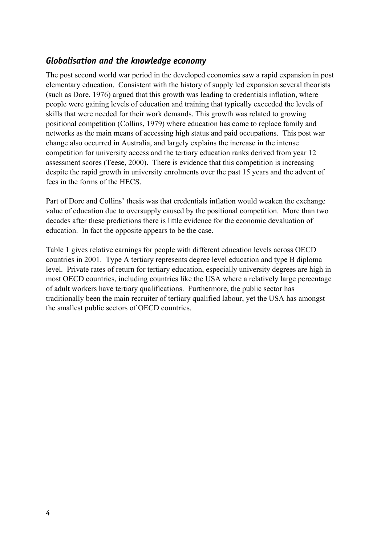## *Globalisation and the knowledge economy*

The post second world war period in the developed economies saw a rapid expansion in post elementary education. Consistent with the history of supply led expansion several theorists (such as Dore, 1976) argued that this growth was leading to credentials inflation, where people were gaining levels of education and training that typically exceeded the levels of skills that were needed for their work demands. This growth was related to growing positional competition (Collins, 1979) where education has come to replace family and networks as the main means of accessing high status and paid occupations. This post war change also occurred in Australia, and largely explains the increase in the intense competition for university access and the tertiary education ranks derived from year 12 assessment scores (Teese, 2000). There is evidence that this competition is increasing despite the rapid growth in university enrolments over the past 15 years and the advent of fees in the forms of the HECS.

Part of Dore and Collins' thesis was that credentials inflation would weaken the exchange value of education due to oversupply caused by the positional competition. More than two decades after these predictions there is little evidence for the economic devaluation of education. In fact the opposite appears to be the case.

Table 1 gives relative earnings for people with different education levels across OECD countries in 2001. Type A tertiary represents degree level education and type B diploma level. Private rates of return for tertiary education, especially university degrees are high in most OECD countries, including countries like the USA where a relatively large percentage of adult workers have tertiary qualifications. Furthermore, the public sector has traditionally been the main recruiter of tertiary qualified labour, yet the USA has amongst the smallest public sectors of OECD countries.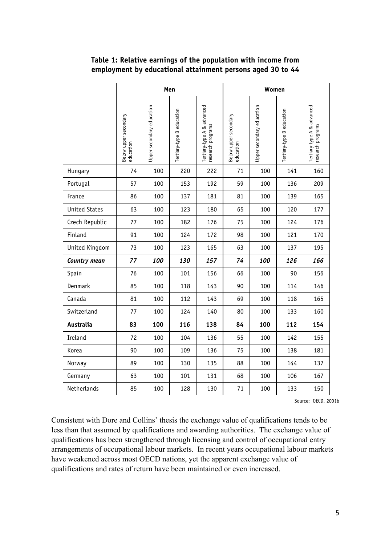|                      | Men                                |                           |                           |                                                 | Women                              |                           |                           |                                                 |
|----------------------|------------------------------------|---------------------------|---------------------------|-------------------------------------------------|------------------------------------|---------------------------|---------------------------|-------------------------------------------------|
|                      | Below upper secondary<br>education | Upper secondary education | Tertiary-type B education | Tertiary-type A & advanced<br>research programs | Below upper secondary<br>education | Upper secondary education | Tertiary-type B education | Tertiary-type A & advanced<br>research programs |
| Hungary              | 74                                 | 100                       | 220                       | 222                                             | 71                                 | 100                       | 141                       | 160                                             |
| Portugal             | 57                                 | 100                       | 153                       | 192                                             | 59                                 | 100                       | 136                       | 209                                             |
| France               | 86                                 | 100                       | 137                       | 181                                             | 81                                 | 100                       | 139                       | 165                                             |
| <b>United States</b> | 63                                 | 100                       | 123                       | 180                                             | 65                                 | 100                       | 120                       | 177                                             |
| Czech Republic       | 77                                 | 100                       | 182                       | 176                                             | 75                                 | 100                       | 124                       | 176                                             |
| Finland              | 91                                 | 100                       | 124                       | 172                                             | 98                                 | 100                       | 121                       | 170                                             |
| United Kingdom       | 73                                 | 100                       | 123                       | 165                                             | 63                                 | 100                       | 137                       | 195                                             |
| Country mean         | 77                                 | 100                       | 130                       | 157                                             | 74                                 | 100                       | 126                       | 166                                             |
| Spain                | 76                                 | 100                       | 101                       | 156                                             | 66                                 | 100                       | 90                        | 156                                             |
| Denmark              | 85                                 | 100                       | 118                       | 143                                             | 90                                 | 100                       | 114                       | 146                                             |
| Canada               | 81                                 | 100                       | 112                       | 143                                             | 69                                 | 100                       | 118                       | 165                                             |
| Switzerland          | 77                                 | 100                       | 124                       | 140                                             | 80                                 | 100                       | 133                       | 160                                             |
| Australia            | 83                                 | 100                       | 116                       | 138                                             | 84                                 | 100                       | 112                       | 154                                             |
| Ireland              | 72                                 | 100                       | 104                       | 136                                             | 55                                 | 100                       | 142                       | 155                                             |
| Korea                | 90                                 | 100                       | 109                       | 136                                             | 75                                 | 100                       | 138                       | 181                                             |
| Norway               | 89                                 | 100                       | 130                       | 135                                             | 88                                 | 100                       | 144                       | 137                                             |
| Germany              | 63                                 | 100                       | 101                       | 131                                             | 68                                 | 100                       | 106                       | 167                                             |
| Netherlands          | 85                                 | 100                       | 128                       | 130                                             | 71                                 | 100                       | 133                       | 150                                             |

### **Table 1: Relative earnings of the population with income from employment by educational attainment persons aged 30 to 44**

Source: OECD, 2001b

Consistent with Dore and Collins' thesis the exchange value of qualifications tends to be less than that assumed by qualifications and awarding authorities. The exchange value of qualifications has been strengthened through licensing and control of occupational entry arrangements of occupational labour markets. In recent years occupational labour markets have weakened across most OECD nations, yet the apparent exchange value of qualifications and rates of return have been maintained or even increased.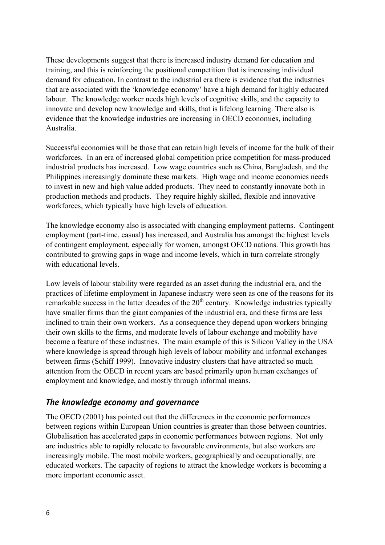These developments suggest that there is increased industry demand for education and training, and this is reinforcing the positional competition that is increasing individual demand for education. In contrast to the industrial era there is evidence that the industries that are associated with the 'knowledge economy' have a high demand for highly educated labour. The knowledge worker needs high levels of cognitive skills, and the capacity to innovate and develop new knowledge and skills, that is lifelong learning. There also is evidence that the knowledge industries are increasing in OECD economies, including Australia.

Successful economies will be those that can retain high levels of income for the bulk of their workforces. In an era of increased global competition price competition for mass-produced industrial products has increased. Low wage countries such as China, Bangladesh, and the Philippines increasingly dominate these markets. High wage and income economies needs to invest in new and high value added products. They need to constantly innovate both in production methods and products. They require highly skilled, flexible and innovative workforces, which typically have high levels of education.

The knowledge economy also is associated with changing employment patterns. Contingent employment (part-time, casual) has increased, and Australia has amongst the highest levels of contingent employment, especially for women, amongst OECD nations. This growth has contributed to growing gaps in wage and income levels, which in turn correlate strongly with educational levels.

Low levels of labour stability were regarded as an asset during the industrial era, and the practices of lifetime employment in Japanese industry were seen as one of the reasons for its remarkable success in the latter decades of the  $20<sup>th</sup>$  century. Knowledge industries typically have smaller firms than the giant companies of the industrial era, and these firms are less inclined to train their own workers. As a consequence they depend upon workers bringing their own skills to the firms, and moderate levels of labour exchange and mobility have become a feature of these industries. The main example of this is Silicon Valley in the USA where knowledge is spread through high levels of labour mobility and informal exchanges between firms (Schiff 1999). Innovative industry clusters that have attracted so much attention from the OECD in recent years are based primarily upon human exchanges of employment and knowledge, and mostly through informal means.

#### *The knowledge economy and governance*

The OECD (2001) has pointed out that the differences in the economic performances between regions within European Union countries is greater than those between countries. Globalisation has accelerated gaps in economic performances between regions. Not only are industries able to rapidly relocate to favourable environments, but also workers are increasingly mobile. The most mobile workers, geographically and occupationally, are educated workers. The capacity of regions to attract the knowledge workers is becoming a more important economic asset.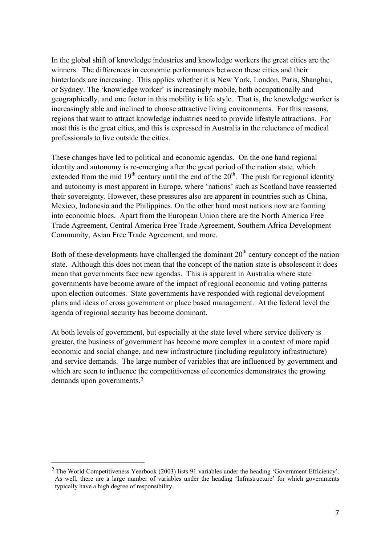In the global shift of knowledge industries and knowledge workers the great cities are the winners. The differences in economic performances between these cities and their hinterlands are increasing. This applies whether it is New York, London, Paris, Shanghai, or Sydney. The 'knowledge worker' is increasingly mobile, both occupationally and geographically, and one factor in this mobility is life style. That is, the knowledge worker is increasingly able and inclined to choose attractive living environments. For this reasons, regions that want to attract knowledge industries need to provide lifestyle attractions. For most this is the great cities, and this is expressed in Australia in the reluctance of medical professionals to live outside the cities.

These changes have led to political and economic agendas. On the one hand regional identity and autonomy is re-emerging after the great period of the nation state, which extended from the mid  $19<sup>th</sup>$  century until the end of the  $20<sup>th</sup>$ . The push for regional identity and autonomy is most apparent in Europe, where 'nations' such as Scotland have reasserted their sovereignty. However, these pressures also are apparent in countries such as China, Mexico, Indonesia and the Philippines. On the other hand most nations now are forming into economic blocs. Apart from the European Union there are the North America Free Trade Agreement, Central America Free Trade Agreement, Southern Africa Development Community, Asian Free Trade Agreement, and more.

Both of these developments have challenged the dominant  $20<sup>th</sup>$  century concept of the nation state. Although this does not mean that the concept of the nation state is obsolescent it does mean that governments face new agendas. This is apparent in Australia where state governments have become aware of the impact of regional economic and voting patterns upon election outcomes. State governments have responded with regional development plans and ideas of cross government or place based management. At the federal level the agenda of regional security has become dominant.

At both levels of government, but especially at the state level where service delivery is greater, the business of government has become more complex in a context of more rapid economic and social change, and new infrastructure (including regulatory infrastructure) and service demands. The large number of variables that are influenced by government and which are seen to influence the competitiveness of economies demonstrates the growing demands upon governments.2

 $\overline{a}$ 

<sup>2</sup> The World Competitiveness Yearbook (2003) lists 91 variables under the heading 'Government Efficiency'. As well, there are a large number of variables under the heading 'Infrastructure' for which governments typically have a high degree of responsibility.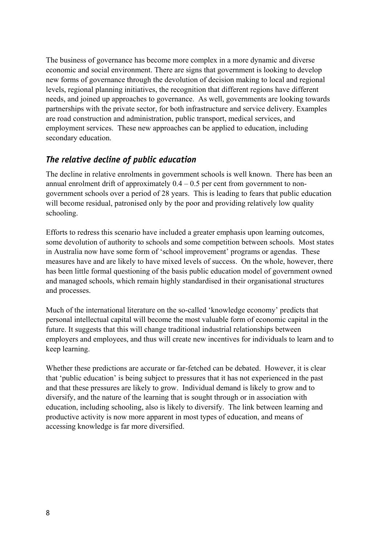The business of governance has become more complex in a more dynamic and diverse economic and social environment. There are signs that government is looking to develop new forms of governance through the devolution of decision making to local and regional levels, regional planning initiatives, the recognition that different regions have different needs, and joined up approaches to governance. As well, governments are looking towards partnerships with the private sector, for both infrastructure and service delivery. Examples are road construction and administration, public transport, medical services, and employment services. These new approaches can be applied to education, including secondary education.

## *The relative decline of public education*

The decline in relative enrolments in government schools is well known. There has been an annual enrolment drift of approximately  $0.4 - 0.5$  per cent from government to nongovernment schools over a period of 28 years. This is leading to fears that public education will become residual, patronised only by the poor and providing relatively low quality schooling.

Efforts to redress this scenario have included a greater emphasis upon learning outcomes, some devolution of authority to schools and some competition between schools. Most states in Australia now have some form of 'school improvement' programs or agendas. These measures have and are likely to have mixed levels of success. On the whole, however, there has been little formal questioning of the basis public education model of government owned and managed schools, which remain highly standardised in their organisational structures and processes.

Much of the international literature on the so-called 'knowledge economy' predicts that personal intellectual capital will become the most valuable form of economic capital in the future. It suggests that this will change traditional industrial relationships between employers and employees, and thus will create new incentives for individuals to learn and to keep learning.

Whether these predictions are accurate or far-fetched can be debated. However, it is clear that 'public education' is being subject to pressures that it has not experienced in the past and that these pressures are likely to grow. Individual demand is likely to grow and to diversify, and the nature of the learning that is sought through or in association with education, including schooling, also is likely to diversify. The link between learning and productive activity is now more apparent in most types of education, and means of accessing knowledge is far more diversified.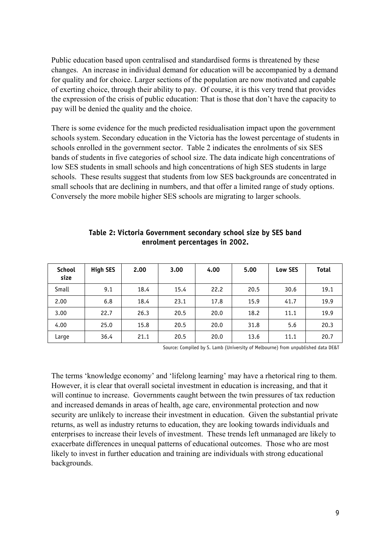Public education based upon centralised and standardised forms is threatened by these changes. An increase in individual demand for education will be accompanied by a demand for quality and for choice. Larger sections of the population are now motivated and capable of exerting choice, through their ability to pay. Of course, it is this very trend that provides the expression of the crisis of public education: That is those that don't have the capacity to pay will be denied the quality and the choice.

There is some evidence for the much predicted residualisation impact upon the government schools system. Secondary education in the Victoria has the lowest percentage of students in schools enrolled in the government sector. Table 2 indicates the enrolments of six SES bands of students in five categories of school size. The data indicate high concentrations of low SES students in small schools and high concentrations of high SES students in large schools. These results suggest that students from low SES backgrounds are concentrated in small schools that are declining in numbers, and that offer a limited range of study options. Conversely the more mobile higher SES schools are migrating to larger schools.

| <b>School</b><br>size | <b>High SES</b> | 2.00 | 3.00 | 4.00 | 5.00 | <b>Low SES</b> | <b>Total</b> |
|-----------------------|-----------------|------|------|------|------|----------------|--------------|
| Small                 | 9.1             | 18.4 | 15.4 | 22.2 | 20.5 | 30.6           | 19.1         |
| 2.00                  | 6.8             | 18.4 | 23.1 | 17.8 | 15.9 | 41.7           | 19.9         |
| 3.00                  | 22.7            | 26.3 | 20.5 | 20.0 | 18.2 | 11.1           | 19.9         |
| 4.00                  | 25.0            | 15.8 | 20.5 | 20.0 | 31.8 | 5.6            | 20.3         |
| Large                 | 36.4            | 21.1 | 20.5 | 20.0 | 13.6 | 11.1           | 20.7         |

**Table 2: Victoria Government secondary school size by SES band enrolment percentages in 2002.** 

Source: Compiled by S. Lamb (University of Melbourne) from unpublished data DE&T

The terms 'knowledge economy' and 'lifelong learning' may have a rhetorical ring to them. However, it is clear that overall societal investment in education is increasing, and that it will continue to increase. Governments caught between the twin pressures of tax reduction and increased demands in areas of health, age care, environmental protection and now security are unlikely to increase their investment in education. Given the substantial private returns, as well as industry returns to education, they are looking towards individuals and enterprises to increase their levels of investment. These trends left unmanaged are likely to exacerbate differences in unequal patterns of educational outcomes. Those who are most likely to invest in further education and training are individuals with strong educational backgrounds.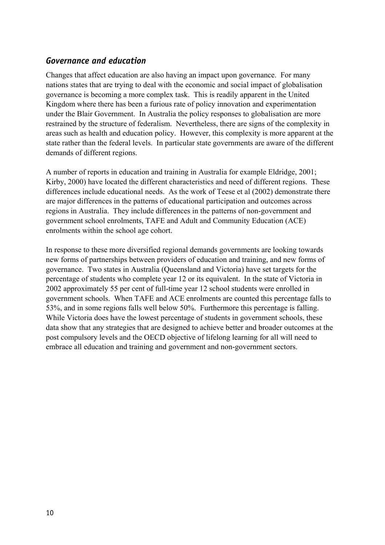## *Governance and education*

Changes that affect education are also having an impact upon governance. For many nations states that are trying to deal with the economic and social impact of globalisation governance is becoming a more complex task. This is readily apparent in the United Kingdom where there has been a furious rate of policy innovation and experimentation under the Blair Government. In Australia the policy responses to globalisation are more restrained by the structure of federalism. Nevertheless, there are signs of the complexity in areas such as health and education policy. However, this complexity is more apparent at the state rather than the federal levels. In particular state governments are aware of the different demands of different regions.

A number of reports in education and training in Australia for example Eldridge, 2001; Kirby, 2000) have located the different characteristics and need of different regions. These differences include educational needs. As the work of Teese et al (2002) demonstrate there are major differences in the patterns of educational participation and outcomes across regions in Australia. They include differences in the patterns of non-government and government school enrolments, TAFE and Adult and Community Education (ACE) enrolments within the school age cohort.

In response to these more diversified regional demands governments are looking towards new forms of partnerships between providers of education and training, and new forms of governance. Two states in Australia (Queensland and Victoria) have set targets for the percentage of students who complete year 12 or its equivalent. In the state of Victoria in 2002 approximately 55 per cent of full-time year 12 school students were enrolled in government schools. When TAFE and ACE enrolments are counted this percentage falls to 53%, and in some regions falls well below 50%. Furthermore this percentage is falling. While Victoria does have the lowest percentage of students in government schools, these data show that any strategies that are designed to achieve better and broader outcomes at the post compulsory levels and the OECD objective of lifelong learning for all will need to embrace all education and training and government and non-government sectors.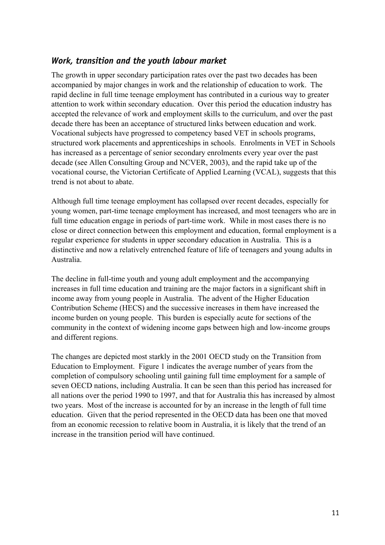### *Work, transition and the youth labour market*

The growth in upper secondary participation rates over the past two decades has been accompanied by major changes in work and the relationship of education to work. The rapid decline in full time teenage employment has contributed in a curious way to greater attention to work within secondary education. Over this period the education industry has accepted the relevance of work and employment skills to the curriculum, and over the past decade there has been an acceptance of structured links between education and work. Vocational subjects have progressed to competency based VET in schools programs, structured work placements and apprenticeships in schools. Enrolments in VET in Schools has increased as a percentage of senior secondary enrolments every year over the past decade (see Allen Consulting Group and NCVER, 2003), and the rapid take up of the vocational course, the Victorian Certificate of Applied Learning (VCAL), suggests that this trend is not about to abate.

Although full time teenage employment has collapsed over recent decades, especially for young women, part-time teenage employment has increased, and most teenagers who are in full time education engage in periods of part-time work. While in most cases there is no close or direct connection between this employment and education, formal employment is a regular experience for students in upper secondary education in Australia. This is a distinctive and now a relatively entrenched feature of life of teenagers and young adults in Australia.

The decline in full-time youth and young adult employment and the accompanying increases in full time education and training are the major factors in a significant shift in income away from young people in Australia. The advent of the Higher Education Contribution Scheme (HECS) and the successive increases in them have increased the income burden on young people. This burden is especially acute for sections of the community in the context of widening income gaps between high and low-income groups and different regions.

The changes are depicted most starkly in the 2001 OECD study on the Transition from Education to Employment. Figure 1 indicates the average number of years from the completion of compulsory schooling until gaining full time employment for a sample of seven OECD nations, including Australia. It can be seen than this period has increased for all nations over the period 1990 to 1997, and that for Australia this has increased by almost two years. Most of the increase is accounted for by an increase in the length of full time education. Given that the period represented in the OECD data has been one that moved from an economic recession to relative boom in Australia, it is likely that the trend of an increase in the transition period will have continued.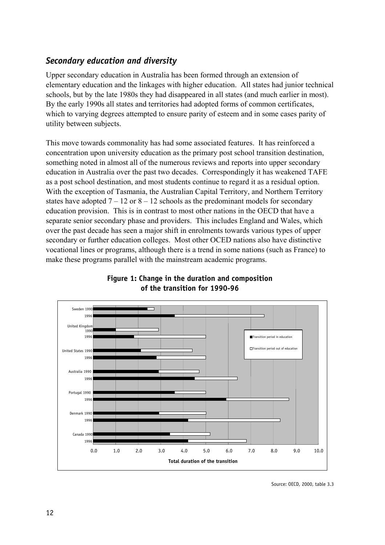# *Secondary education and diversity*

Upper secondary education in Australia has been formed through an extension of elementary education and the linkages with higher education. All states had junior technical schools, but by the late 1980s they had disappeared in all states (and much earlier in most). By the early 1990s all states and territories had adopted forms of common certificates, which to varying degrees attempted to ensure parity of esteem and in some cases parity of utility between subjects.

This move towards commonality has had some associated features. It has reinforced a concentration upon university education as the primary post school transition destination, something noted in almost all of the numerous reviews and reports into upper secondary education in Australia over the past two decades. Correspondingly it has weakened TAFE as a post school destination, and most students continue to regard it as a residual option. With the exception of Tasmania, the Australian Capital Territory, and Northern Territory states have adopted  $7 - 12$  or  $8 - 12$  schools as the predominant models for secondary education provision. This is in contrast to most other nations in the OECD that have a separate senior secondary phase and providers. This includes England and Wales, which over the past decade has seen a major shift in enrolments towards various types of upper secondary or further education colleges. Most other OCED nations also have distinctive vocational lines or programs, although there is a trend in some nations (such as France) to make these programs parallel with the mainstream academic programs.



#### **Figure 1: Change in the duration and composition of the transition for 1990-96**

Source: OECD, 2000, table 3.3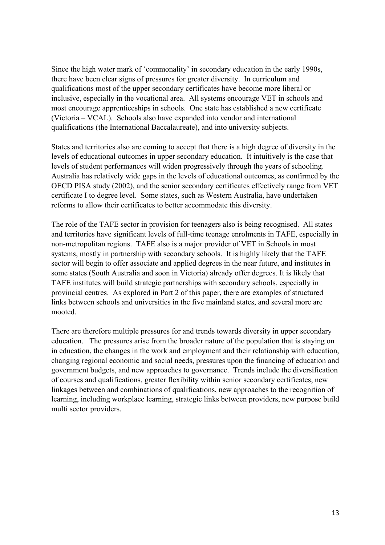Since the high water mark of 'commonality' in secondary education in the early 1990s, there have been clear signs of pressures for greater diversity. In curriculum and qualifications most of the upper secondary certificates have become more liberal or inclusive, especially in the vocational area. All systems encourage VET in schools and most encourage apprenticeships in schools. One state has established a new certificate (Victoria – VCAL). Schools also have expanded into vendor and international qualifications (the International Baccalaureate), and into university subjects.

States and territories also are coming to accept that there is a high degree of diversity in the levels of educational outcomes in upper secondary education. It intuitively is the case that levels of student performances will widen progressively through the years of schooling. Australia has relatively wide gaps in the levels of educational outcomes, as confirmed by the OECD PISA study (2002), and the senior secondary certificates effectively range from VET certificate I to degree level. Some states, such as Western Australia, have undertaken reforms to allow their certificates to better accommodate this diversity.

The role of the TAFE sector in provision for teenagers also is being recognised. All states and territories have significant levels of full-time teenage enrolments in TAFE, especially in non-metropolitan regions. TAFE also is a major provider of VET in Schools in most systems, mostly in partnership with secondary schools. It is highly likely that the TAFE sector will begin to offer associate and applied degrees in the near future, and institutes in some states (South Australia and soon in Victoria) already offer degrees. It is likely that TAFE institutes will build strategic partnerships with secondary schools, especially in provincial centres. As explored in Part 2 of this paper, there are examples of structured links between schools and universities in the five mainland states, and several more are mooted.

There are therefore multiple pressures for and trends towards diversity in upper secondary education. The pressures arise from the broader nature of the population that is staying on in education, the changes in the work and employment and their relationship with education, changing regional economic and social needs, pressures upon the financing of education and government budgets, and new approaches to governance. Trends include the diversification of courses and qualifications, greater flexibility within senior secondary certificates, new linkages between and combinations of qualifications, new approaches to the recognition of learning, including workplace learning, strategic links between providers, new purpose build multi sector providers.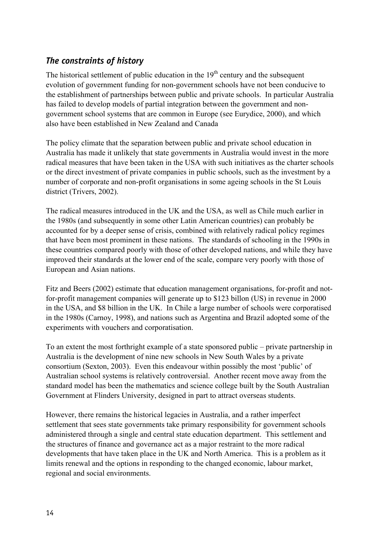# *The constraints of history*

The historical settlement of public education in the  $19<sup>th</sup>$  century and the subsequent evolution of government funding for non-government schools have not been conducive to the establishment of partnerships between public and private schools. In particular Australia has failed to develop models of partial integration between the government and nongovernment school systems that are common in Europe (see Eurydice, 2000), and which also have been established in New Zealand and Canada

The policy climate that the separation between public and private school education in Australia has made it unlikely that state governments in Australia would invest in the more radical measures that have been taken in the USA with such initiatives as the charter schools or the direct investment of private companies in public schools, such as the investment by a number of corporate and non-profit organisations in some ageing schools in the St Louis district (Trivers, 2002).

The radical measures introduced in the UK and the USA, as well as Chile much earlier in the 1980s (and subsequently in some other Latin American countries) can probably be accounted for by a deeper sense of crisis, combined with relatively radical policy regimes that have been most prominent in these nations. The standards of schooling in the 1990s in these countries compared poorly with those of other developed nations, and while they have improved their standards at the lower end of the scale, compare very poorly with those of European and Asian nations.

Fitz and Beers (2002) estimate that education management organisations, for-profit and notfor-profit management companies will generate up to \$123 billon (US) in revenue in 2000 in the USA, and \$8 billion in the UK. In Chile a large number of schools were corporatised in the 1980s (Carnoy, 1998), and nations such as Argentina and Brazil adopted some of the experiments with vouchers and corporatisation.

To an extent the most forthright example of a state sponsored public – private partnership in Australia is the development of nine new schools in New South Wales by a private consortium (Sexton, 2003). Even this endeavour within possibly the most 'public' of Australian school systems is relatively controversial. Another recent move away from the standard model has been the mathematics and science college built by the South Australian Government at Flinders University, designed in part to attract overseas students.

However, there remains the historical legacies in Australia, and a rather imperfect settlement that sees state governments take primary responsibility for government schools administered through a single and central state education department. This settlement and the structures of finance and governance act as a major restraint to the more radical developments that have taken place in the UK and North America. This is a problem as it limits renewal and the options in responding to the changed economic, labour market, regional and social environments.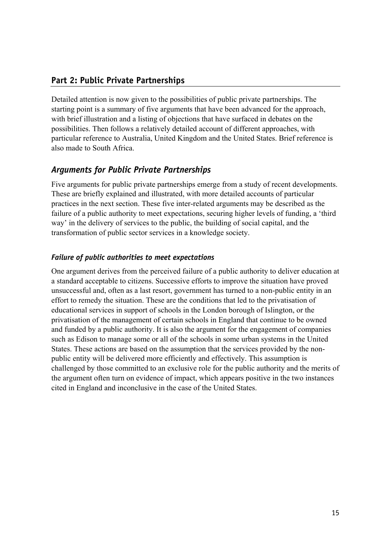## **Part 2: Public Private Partnerships**

Detailed attention is now given to the possibilities of public private partnerships. The starting point is a summary of five arguments that have been advanced for the approach, with brief illustration and a listing of objections that have surfaced in debates on the possibilities. Then follows a relatively detailed account of different approaches, with particular reference to Australia, United Kingdom and the United States. Brief reference is also made to South Africa.

## *Arguments for Public Private Partnerships*

Five arguments for public private partnerships emerge from a study of recent developments. These are briefly explained and illustrated, with more detailed accounts of particular practices in the next section. These five inter-related arguments may be described as the failure of a public authority to meet expectations, securing higher levels of funding, a 'third way' in the delivery of services to the public, the building of social capital, and the transformation of public sector services in a knowledge society.

#### *Failure of public authorities to meet expectations*

One argument derives from the perceived failure of a public authority to deliver education at a standard acceptable to citizens. Successive efforts to improve the situation have proved unsuccessful and, often as a last resort, government has turned to a non-public entity in an effort to remedy the situation. These are the conditions that led to the privatisation of educational services in support of schools in the London borough of Islington, or the privatisation of the management of certain schools in England that continue to be owned and funded by a public authority. It is also the argument for the engagement of companies such as Edison to manage some or all of the schools in some urban systems in the United States. These actions are based on the assumption that the services provided by the nonpublic entity will be delivered more efficiently and effectively. This assumption is challenged by those committed to an exclusive role for the public authority and the merits of the argument often turn on evidence of impact, which appears positive in the two instances cited in England and inconclusive in the case of the United States.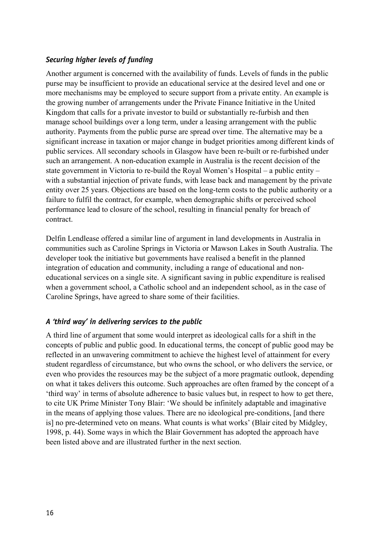#### *Securing higher levels of funding*

Another argument is concerned with the availability of funds. Levels of funds in the public purse may be insufficient to provide an educational service at the desired level and one or more mechanisms may be employed to secure support from a private entity. An example is the growing number of arrangements under the Private Finance Initiative in the United Kingdom that calls for a private investor to build or substantially re-furbish and then manage school buildings over a long term, under a leasing arrangement with the public authority. Payments from the public purse are spread over time. The alternative may be a significant increase in taxation or major change in budget priorities among different kinds of public services. All secondary schools in Glasgow have been re-built or re-furbished under such an arrangement. A non-education example in Australia is the recent decision of the state government in Victoria to re-build the Royal Women's Hospital – a public entity – with a substantial injection of private funds, with lease back and management by the private entity over 25 years. Objections are based on the long-term costs to the public authority or a failure to fulfil the contract, for example, when demographic shifts or perceived school performance lead to closure of the school, resulting in financial penalty for breach of contract.

Delfin Lendlease offered a similar line of argument in land developments in Australia in communities such as Caroline Springs in Victoria or Mawson Lakes in South Australia. The developer took the initiative but governments have realised a benefit in the planned integration of education and community, including a range of educational and noneducational services on a single site. A significant saving in public expenditure is realised when a government school, a Catholic school and an independent school, as in the case of Caroline Springs, have agreed to share some of their facilities.

#### *A 'third way' in delivering services to the public*

A third line of argument that some would interpret as ideological calls for a shift in the concepts of public and public good. In educational terms, the concept of public good may be reflected in an unwavering commitment to achieve the highest level of attainment for every student regardless of circumstance, but who owns the school, or who delivers the service, or even who provides the resources may be the subject of a more pragmatic outlook, depending on what it takes delivers this outcome. Such approaches are often framed by the concept of a 'third way' in terms of absolute adherence to basic values but, in respect to how to get there, to cite UK Prime Minister Tony Blair: 'We should be infinitely adaptable and imaginative in the means of applying those values. There are no ideological pre-conditions, [and there is] no pre-determined veto on means. What counts is what works' (Blair cited by Midgley, 1998, p. 44). Some ways in which the Blair Government has adopted the approach have been listed above and are illustrated further in the next section.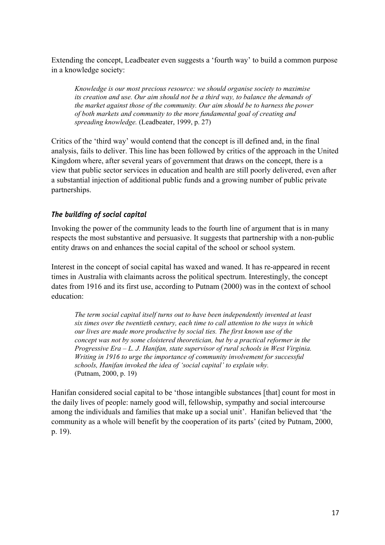Extending the concept, Leadbeater even suggests a 'fourth way' to build a common purpose in a knowledge society:

*Knowledge is our most precious resource: we should organise society to maximise its creation and use. Our aim should not be a third way, to balance the demands of the market against those of the community. Our aim should be to harness the power of both markets and community to the more fundamental goal of creating and spreading knowledge.* (Leadbeater, 1999, p. 27)

Critics of the 'third way' would contend that the concept is ill defined and, in the final analysis, fails to deliver. This line has been followed by critics of the approach in the United Kingdom where, after several years of government that draws on the concept, there is a view that public sector services in education and health are still poorly delivered, even after a substantial injection of additional public funds and a growing number of public private partnerships.

#### *The building of social capital*

Invoking the power of the community leads to the fourth line of argument that is in many respects the most substantive and persuasive. It suggests that partnership with a non-public entity draws on and enhances the social capital of the school or school system.

Interest in the concept of social capital has waxed and waned. It has re-appeared in recent times in Australia with claimants across the political spectrum. Interestingly, the concept dates from 1916 and its first use, according to Putnam (2000) was in the context of school education:

*The term social capital itself turns out to have been independently invented at least six times over the twentieth century, each time to call attention to the ways in which our lives are made more productive by social ties. The first known use of the concept was not by some cloistered theoretician, but by a practical reformer in the Progressive Era – L. J. Hanifan, state supervisor of rural schools in West Virginia. Writing in 1916 to urge the importance of community involvement for successful schools, Hanifan invoked the idea of 'social capital' to explain why.* (Putnam, 2000, p. 19)

Hanifan considered social capital to be 'those intangible substances [that] count for most in the daily lives of people: namely good will, fellowship, sympathy and social intercourse among the individuals and families that make up a social unit'. Hanifan believed that 'the community as a whole will benefit by the cooperation of its parts' (cited by Putnam, 2000, p. 19).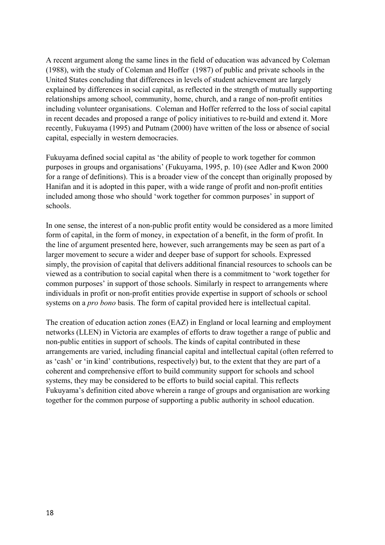A recent argument along the same lines in the field of education was advanced by Coleman (1988), with the study of Coleman and Hoffer (1987) of public and private schools in the United States concluding that differences in levels of student achievement are largely explained by differences in social capital, as reflected in the strength of mutually supporting relationships among school, community, home, church, and a range of non-profit entities including volunteer organisations. Coleman and Hoffer referred to the loss of social capital in recent decades and proposed a range of policy initiatives to re-build and extend it. More recently, Fukuyama (1995) and Putnam (2000) have written of the loss or absence of social capital, especially in western democracies.

Fukuyama defined social capital as 'the ability of people to work together for common purposes in groups and organisations' (Fukuyama, 1995, p. 10) (see Adler and Kwon 2000 for a range of definitions). This is a broader view of the concept than originally proposed by Hanifan and it is adopted in this paper, with a wide range of profit and non-profit entities included among those who should 'work together for common purposes' in support of schools.

In one sense, the interest of a non-public profit entity would be considered as a more limited form of capital, in the form of money, in expectation of a benefit, in the form of profit. In the line of argument presented here, however, such arrangements may be seen as part of a larger movement to secure a wider and deeper base of support for schools. Expressed simply, the provision of capital that delivers additional financial resources to schools can be viewed as a contribution to social capital when there is a commitment to 'work together for common purposes' in support of those schools. Similarly in respect to arrangements where individuals in profit or non-profit entities provide expertise in support of schools or school systems on a *pro bono* basis. The form of capital provided here is intellectual capital.

The creation of education action zones (EAZ) in England or local learning and employment networks (LLEN) in Victoria are examples of efforts to draw together a range of public and non-public entities in support of schools. The kinds of capital contributed in these arrangements are varied, including financial capital and intellectual capital (often referred to as 'cash' or 'in kind' contributions, respectively) but, to the extent that they are part of a coherent and comprehensive effort to build community support for schools and school systems, they may be considered to be efforts to build social capital. This reflects Fukuyama's definition cited above wherein a range of groups and organisation are working together for the common purpose of supporting a public authority in school education.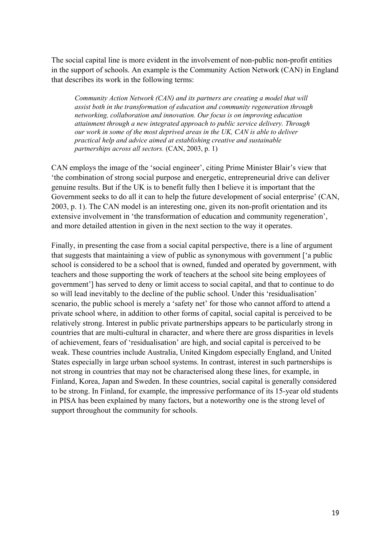The social capital line is more evident in the involvement of non-public non-profit entities in the support of schools. An example is the Community Action Network (CAN) in England that describes its work in the following terms:

*Community Action Network (CAN) and its partners are creating a model that will assist both in the transformation of education and community regeneration through networking, collaboration and innovation. Our focus is on improving education attainment through a new integrated approach to public service delivery. Through our work in some of the most deprived areas in the UK, CAN is able to deliver practical help and advice aimed at establishing creative and sustainable partnerships across all sectors.* (CAN, 2003, p. 1)

CAN employs the image of the 'social engineer', citing Prime Minister Blair's view that 'the combination of strong social purpose and energetic, entrepreneurial drive can deliver genuine results. But if the UK is to benefit fully then I believe it is important that the Government seeks to do all it can to help the future development of social enterprise' (CAN, 2003, p. 1). The CAN model is an interesting one, given its non-profit orientation and its extensive involvement in 'the transformation of education and community regeneration', and more detailed attention in given in the next section to the way it operates.

Finally, in presenting the case from a social capital perspective, there is a line of argument that suggests that maintaining a view of public as synonymous with government ['a public school is considered to be a school that is owned, funded and operated by government, with teachers and those supporting the work of teachers at the school site being employees of government'] has served to deny or limit access to social capital, and that to continue to do so will lead inevitably to the decline of the public school. Under this 'residualisation' scenario, the public school is merely a 'safety net' for those who cannot afford to attend a private school where, in addition to other forms of capital, social capital is perceived to be relatively strong. Interest in public private partnerships appears to be particularly strong in countries that are multi-cultural in character, and where there are gross disparities in levels of achievement, fears of 'residualisation' are high, and social capital is perceived to be weak. These countries include Australia, United Kingdom especially England, and United States especially in large urban school systems. In contrast, interest in such partnerships is not strong in countries that may not be characterised along these lines, for example, in Finland, Korea, Japan and Sweden. In these countries, social capital is generally considered to be strong. In Finland, for example, the impressive performance of its 15-year old students in PISA has been explained by many factors, but a noteworthy one is the strong level of support throughout the community for schools.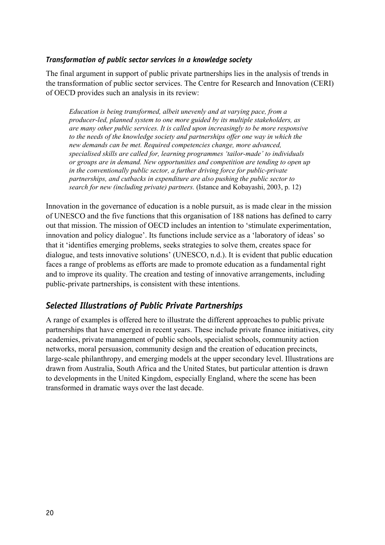#### *Transformation of public sector services in a knowledge society*

The final argument in support of public private partnerships lies in the analysis of trends in the transformation of public sector services. The Centre for Research and Innovation (CERI) of OECD provides such an analysis in its review:

*Education is being transformed, albeit unevenly and at varying pace, from a producer-led, planned system to one more guided by its multiple stakeholders, as are many other public services. It is called upon increasingly to be more responsive*  to the needs of the knowledge society and partnerships offer one way in which the *new demands can be met. Required competencies change, more advanced, specialised skills are called for, learning programmes 'tailor-made' to individuals or groups are in demand. New opportunities and competition are tending to open up in the conventionally public sector, a further driving force for public-private partnerships, and cutbacks in expenditure are also pushing the public sector to search for new (including private) partners.* (Istance and Kobayashi, 2003, p. 12)

Innovation in the governance of education is a noble pursuit, as is made clear in the mission of UNESCO and the five functions that this organisation of 188 nations has defined to carry out that mission. The mission of OECD includes an intention to 'stimulate experimentation, innovation and policy dialogue'. Its functions include service as a 'laboratory of ideas' so that it 'identifies emerging problems, seeks strategies to solve them, creates space for dialogue, and tests innovative solutions' (UNESCO, n.d.). It is evident that public education faces a range of problems as efforts are made to promote education as a fundamental right and to improve its quality. The creation and testing of innovative arrangements, including public-private partnerships, is consistent with these intentions.

## *Selected Illustrations of Public Private Partnerships*

A range of examples is offered here to illustrate the different approaches to public private partnerships that have emerged in recent years. These include private finance initiatives, city academies, private management of public schools, specialist schools, community action networks, moral persuasion, community design and the creation of education precincts, large-scale philanthropy, and emerging models at the upper secondary level. Illustrations are drawn from Australia, South Africa and the United States, but particular attention is drawn to developments in the United Kingdom, especially England, where the scene has been transformed in dramatic ways over the last decade.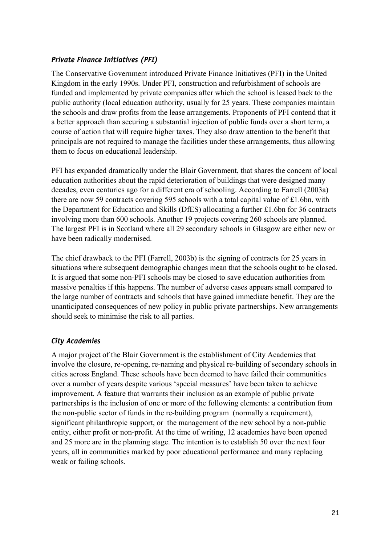#### *Private Finance Initiatives (PFI)*

The Conservative Government introduced Private Finance Initiatives (PFI) in the United Kingdom in the early 1990s. Under PFI, construction and refurbishment of schools are funded and implemented by private companies after which the school is leased back to the public authority (local education authority, usually for 25 years. These companies maintain the schools and draw profits from the lease arrangements. Proponents of PFI contend that it a better approach than securing a substantial injection of public funds over a short term, a course of action that will require higher taxes. They also draw attention to the benefit that principals are not required to manage the facilities under these arrangements, thus allowing them to focus on educational leadership.

PFI has expanded dramatically under the Blair Government, that shares the concern of local education authorities about the rapid deterioration of buildings that were designed many decades, even centuries ago for a different era of schooling. According to Farrell (2003a) there are now 59 contracts covering 595 schools with a total capital value of £1.6bn, with the Department for Education and Skills (DfES) allocating a further £1.6bn for 36 contracts involving more than 600 schools. Another 19 projects covering 260 schools are planned. The largest PFI is in Scotland where all 29 secondary schools in Glasgow are either new or have been radically modernised.

The chief drawback to the PFI (Farrell, 2003b) is the signing of contracts for 25 years in situations where subsequent demographic changes mean that the schools ought to be closed. It is argued that some non-PFI schools may be closed to save education authorities from massive penalties if this happens. The number of adverse cases appears small compared to the large number of contracts and schools that have gained immediate benefit. They are the unanticipated consequences of new policy in public private partnerships. New arrangements should seek to minimise the risk to all parties.

#### *City Academies*

A major project of the Blair Government is the establishment of City Academies that involve the closure, re-opening, re-naming and physical re-building of secondary schools in cities across England. These schools have been deemed to have failed their communities over a number of years despite various 'special measures' have been taken to achieve improvement. A feature that warrants their inclusion as an example of public private partnerships is the inclusion of one or more of the following elements: a contribution from the non-public sector of funds in the re-building program (normally a requirement), significant philanthropic support, or the management of the new school by a non-public entity, either profit or non-profit. At the time of writing, 12 academies have been opened and 25 more are in the planning stage. The intention is to establish 50 over the next four years, all in communities marked by poor educational performance and many replacing weak or failing schools.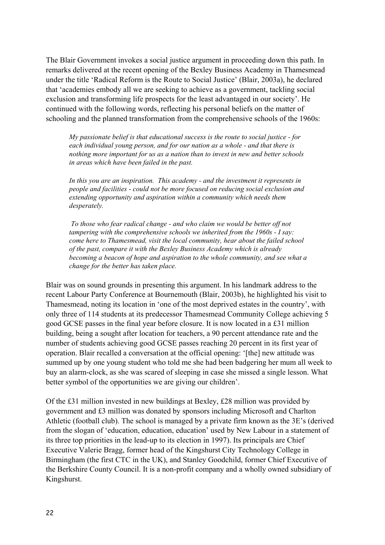The Blair Government invokes a social justice argument in proceeding down this path. In remarks delivered at the recent opening of the Bexley Business Academy in Thamesmead under the title 'Radical Reform is the Route to Social Justice' (Blair, 2003a), he declared that 'academies embody all we are seeking to achieve as a government, tackling social exclusion and transforming life prospects for the least advantaged in our society'. He continued with the following words, reflecting his personal beliefs on the matter of schooling and the planned transformation from the comprehensive schools of the 1960s:

*My passionate belief is that educational success is the route to social justice - for each individual young person, and for our nation as a whole - and that there is nothing more important for us as a nation than to invest in new and better schools in areas which have been failed in the past.* 

*In this you are an inspiration. This academy - and the investment it represents in people and facilities - could not be more focused on reducing social exclusion and extending opportunity and aspiration within a community which needs them desperately.* 

 *To those who fear radical change - and who claim we would be better off not tampering with the comprehensive schools we inherited from the 1960s - I say: come here to Thamesmead, visit the local community, hear about the failed school of the past, compare it with the Bexley Business Academy which is already becoming a beacon of hope and aspiration to the whole community, and see what a change for the better has taken place.* 

Blair was on sound grounds in presenting this argument. In his landmark address to the recent Labour Party Conference at Bournemouth (Blair, 2003b), he highlighted his visit to Thamesmead, noting its location in 'one of the most deprived estates in the country', with only three of 114 students at its predecessor Thamesmead Community College achieving 5 good GCSE passes in the final year before closure. It is now located in a £31 million building, being a sought after location for teachers, a 90 percent attendance rate and the number of students achieving good GCSE passes reaching 20 percent in its first year of operation. Blair recalled a conversation at the official opening: '[the] new attitude was summed up by one young student who told me she had been badgering her mum all week to buy an alarm-clock, as she was scared of sleeping in case she missed a single lesson. What better symbol of the opportunities we are giving our children'.

Of the £31 million invested in new buildings at Bexley, £28 million was provided by government and £3 million was donated by sponsors including Microsoft and Charlton Athletic (football club). The school is managed by a private firm known as the 3E's (derived from the slogan of 'education, education, education' used by New Labour in a statement of its three top priorities in the lead-up to its election in 1997). Its principals are Chief Executive Valerie Bragg, former head of the Kingshurst City Technology College in Birmingham (the first CTC in the UK), and Stanley Goodchild, former Chief Executive of the Berkshire County Council. It is a non-profit company and a wholly owned subsidiary of Kingshurst.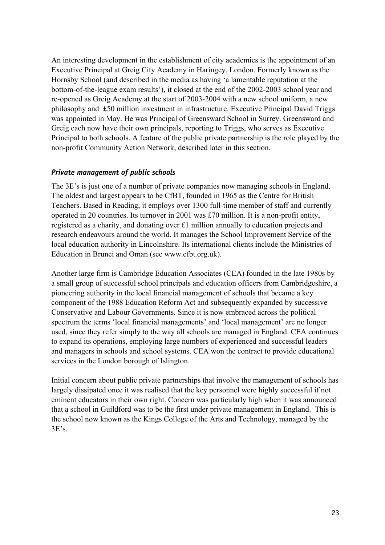An interesting development in the establishment of city academies is the appointment of an Executive Principal at Greig City Academy in Haringey, London. Formerly known as the Hornsby School (and described in the media as having 'a lamentable reputation at the bottom-of-the-league exam results'), it closed at the end of the 2002-2003 school year and re-opened as Greig Academy at the start of 2003-2004 with a new school uniform, a new philosophy and £50 million investment in infrastructure. Executive Principal David Triggs was appointed in May. He was Principal of Greensward School in Surrey. Greensward and Greig each now have their own principals, reporting to Triggs, who serves as Executive Principal to both schools. A feature of the public private partnership is the role played by the non-profit Community Action Network, described later in this section.

#### *Private management of public schools*

The 3E's is just one of a number of private companies now managing schools in England. The oldest and largest appears to be CfBT, founded in 1965 as the Centre for British Teachers. Based in Reading, it employs over 1300 full-time member of staff and currently operated in 20 countries. Its turnover in 2001 was £70 million. It is a non-profit entity, registered as a charity, and donating over £1 million annually to education projects and research endeavours around the world. It manages the School Improvement Service of the local education authority in Lincolnshire. Its international clients include the Ministries of Education in Brunei and Oman (see www.cfbt.org.uk).

Another large firm is Cambridge Education Associates (CEA) founded in the late 1980s by a small group of successful school principals and education officers from Cambridgeshire, a pioneering authority in the local financial management of schools that became a key component of the 1988 Education Reform Act and subsequently expanded by successive Conservative and Labour Governments. Since it is now embraced across the political spectrum the terms 'local financial managements' and 'local management' are no longer used, since they refer simply to the way all schools are managed in England. CEA continues to expand its operations, employing large numbers of experienced and successful leaders and managers in schools and school systems. CEA won the contract to provide educational services in the London borough of Islington.

Initial concern about public private partnerships that involve the management of schools has largely dissipated once it was realised that the key personnel were highly successful if not eminent educators in their own right. Concern was particularly high when it was announced that a school in Guildford was to be the first under private management in England. This is the school now known as the Kings College of the Arts and Technology, managed by the  $3E's$ .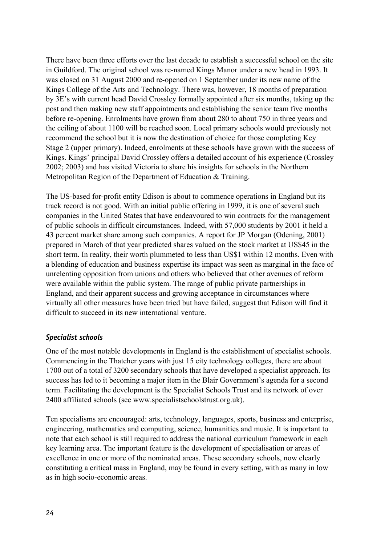There have been three efforts over the last decade to establish a successful school on the site in Guildford. The original school was re-named Kings Manor under a new head in 1993. It was closed on 31 August 2000 and re-opened on 1 September under its new name of the Kings College of the Arts and Technology. There was, however, 18 months of preparation by 3E's with current head David Crossley formally appointed after six months, taking up the post and then making new staff appointments and establishing the senior team five months before re-opening. Enrolments have grown from about 280 to about 750 in three years and the ceiling of about 1100 will be reached soon. Local primary schools would previously not recommend the school but it is now the destination of choice for those completing Key Stage 2 (upper primary). Indeed, enrolments at these schools have grown with the success of Kings. Kings' principal David Crossley offers a detailed account of his experience (Crossley 2002; 2003) and has visited Victoria to share his insights for schools in the Northern Metropolitan Region of the Department of Education & Training.

The US-based for-profit entity Edison is about to commence operations in England but its track record is not good. With an initial public offering in 1999, it is one of several such companies in the United States that have endeavoured to win contracts for the management of public schools in difficult circumstances. Indeed, with 57,000 students by 2001 it held a 43 percent market share among such companies. A report for JP Morgan (Odening, 2001) prepared in March of that year predicted shares valued on the stock market at US\$45 in the short term. In reality, their worth plummeted to less than US\$1 within 12 months. Even with a blending of education and business expertise its impact was seen as marginal in the face of unrelenting opposition from unions and others who believed that other avenues of reform were available within the public system. The range of public private partnerships in England, and their apparent success and growing acceptance in circumstances where virtually all other measures have been tried but have failed, suggest that Edison will find it difficult to succeed in its new international venture.

#### *Specialist schools*

One of the most notable developments in England is the establishment of specialist schools. Commencing in the Thatcher years with just 15 city technology colleges, there are about 1700 out of a total of 3200 secondary schools that have developed a specialist approach. Its success has led to it becoming a major item in the Blair Government's agenda for a second term. Facilitating the development is the Specialist Schools Trust and its network of over 2400 affiliated schools (see www.specialistschoolstrust.org.uk).

Ten specialisms are encouraged: arts, technology, languages, sports, business and enterprise, engineering, mathematics and computing, science, humanities and music. It is important to note that each school is still required to address the national curriculum framework in each key learning area. The important feature is the development of specialisation or areas of excellence in one or more of the nominated areas. These secondary schools, now clearly constituting a critical mass in England, may be found in every setting, with as many in low as in high socio-economic areas.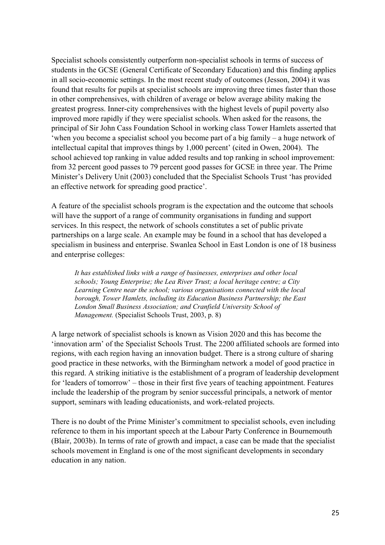Specialist schools consistently outperform non-specialist schools in terms of success of students in the GCSE (General Certificate of Secondary Education) and this finding applies in all socio-economic settings. In the most recent study of outcomes (Jesson, 2004) it was found that results for pupils at specialist schools are improving three times faster than those in other comprehensives, with children of average or below average ability making the greatest progress. Inner-city comprehensives with the highest levels of pupil poverty also improved more rapidly if they were specialist schools. When asked for the reasons, the principal of Sir John Cass Foundation School in working class Tower Hamlets asserted that 'when you become a specialist school you become part of a big family – a huge network of intellectual capital that improves things by 1,000 percent' (cited in Owen, 2004). The school achieved top ranking in value added results and top ranking in school improvement: from 32 percent good passes to 79 percent good passes for GCSE in three year. The Prime Minister's Delivery Unit (2003) concluded that the Specialist Schools Trust 'has provided an effective network for spreading good practice'.

A feature of the specialist schools program is the expectation and the outcome that schools will have the support of a range of community organisations in funding and support services. In this respect, the network of schools constitutes a set of public private partnerships on a large scale. An example may be found in a school that has developed a specialism in business and enterprise. Swanlea School in East London is one of 18 business and enterprise colleges:

*It has established links with a range of businesses, enterprises and other local schools; Young Enterprise; the Lea River Trust; a local heritage centre; a City Learning Centre near the school; various organisations connected with the local borough, Tower Hamlets, including its Education Business Partnership; the East London Small Business Association; and Cranfield University School of Management.* (Specialist Schools Trust, 2003, p. 8)

A large network of specialist schools is known as Vision 2020 and this has become the 'innovation arm' of the Specialist Schools Trust. The 2200 affiliated schools are formed into regions, with each region having an innovation budget. There is a strong culture of sharing good practice in these networks, with the Birmingham network a model of good practice in this regard. A striking initiative is the establishment of a program of leadership development for 'leaders of tomorrow' – those in their first five years of teaching appointment. Features include the leadership of the program by senior successful principals, a network of mentor support, seminars with leading educationists, and work-related projects.

There is no doubt of the Prime Minister's commitment to specialist schools, even including reference to them in his important speech at the Labour Party Conference in Bournemouth (Blair, 2003b). In terms of rate of growth and impact, a case can be made that the specialist schools movement in England is one of the most significant developments in secondary education in any nation.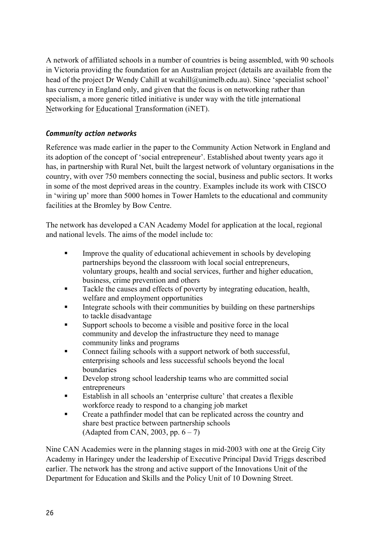A network of affiliated schools in a number of countries is being assembled, with 90 schools in Victoria providing the foundation for an Australian project (details are available from the head of the project Dr Wendy Cahill at wcahill@unimelb.edu.au). Since 'specialist school' has currency in England only, and given that the focus is on networking rather than specialism, a more generic titled initiative is under way with the title international Networking for Educational Transformation (iNET).

#### *Community action networks*

Reference was made earlier in the paper to the Community Action Network in England and its adoption of the concept of 'social entrepreneur'. Established about twenty years ago it has, in partnership with Rural Net, built the largest network of voluntary organisations in the country, with over 750 members connecting the social, business and public sectors. It works in some of the most deprived areas in the country. Examples include its work with CISCO in 'wiring up' more than 5000 homes in Tower Hamlets to the educational and community facilities at the Bromley by Bow Centre.

The network has developed a CAN Academy Model for application at the local, regional and national levels. The aims of the model include to:

- Improve the quality of educational achievement in schools by developing partnerships beyond the classroom with local social entrepreneurs, voluntary groups, health and social services, further and higher education, business, crime prevention and others
- Tackle the causes and effects of poverty by integrating education, health, welfare and employment opportunities
- Integrate schools with their communities by building on these partnerships to tackle disadvantage
- Support schools to become a visible and positive force in the local community and develop the infrastructure they need to manage community links and programs
- Connect failing schools with a support network of both successful, enterprising schools and less successful schools beyond the local boundaries
- Develop strong school leadership teams who are committed social entrepreneurs
- Establish in all schools an 'enterprise culture' that creates a flexible workforce ready to respond to a changing job market
- Create a pathfinder model that can be replicated across the country and share best practice between partnership schools (Adapted from CAN, 2003, pp.  $6 - 7$ )

Nine CAN Academies were in the planning stages in mid-2003 with one at the Greig City Academy in Haringey under the leadership of Executive Principal David Triggs described earlier. The network has the strong and active support of the Innovations Unit of the Department for Education and Skills and the Policy Unit of 10 Downing Street.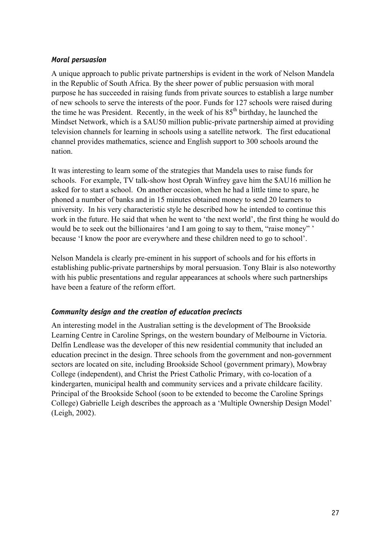#### *Moral persuasion*

A unique approach to public private partnerships is evident in the work of Nelson Mandela in the Republic of South Africa. By the sheer power of public persuasion with moral purpose he has succeeded in raising funds from private sources to establish a large number of new schools to serve the interests of the poor. Funds for 127 schools were raised during the time he was President. Recently, in the week of his 85<sup>th</sup> birthday, he launched the Mindset Network, which is a \$AU50 million public-private partnership aimed at providing television channels for learning in schools using a satellite network. The first educational channel provides mathematics, science and English support to 300 schools around the nation.

It was interesting to learn some of the strategies that Mandela uses to raise funds for schools. For example, TV talk-show host Oprah Winfrey gave him the \$AU16 million he asked for to start a school. On another occasion, when he had a little time to spare, he phoned a number of banks and in 15 minutes obtained money to send 20 learners to university. In his very characteristic style he described how he intended to continue this work in the future. He said that when he went to 'the next world', the first thing he would do would be to seek out the billionaires 'and I am going to say to them, "raise money" ' because 'I know the poor are everywhere and these children need to go to school'.

Nelson Mandela is clearly pre-eminent in his support of schools and for his efforts in establishing public-private partnerships by moral persuasion. Tony Blair is also noteworthy with his public presentations and regular appearances at schools where such partnerships have been a feature of the reform effort.

#### *Community design and the creation of education precincts*

An interesting model in the Australian setting is the development of The Brookside Learning Centre in Caroline Springs, on the western boundary of Melbourne in Victoria. Delfin Lendlease was the developer of this new residential community that included an education precinct in the design. Three schools from the government and non-government sectors are located on site, including Brookside School (government primary), Mowbray College (independent), and Christ the Priest Catholic Primary, with co-location of a kindergarten, municipal health and community services and a private childcare facility. Principal of the Brookside School (soon to be extended to become the Caroline Springs College) Gabrielle Leigh describes the approach as a 'Multiple Ownership Design Model' (Leigh, 2002).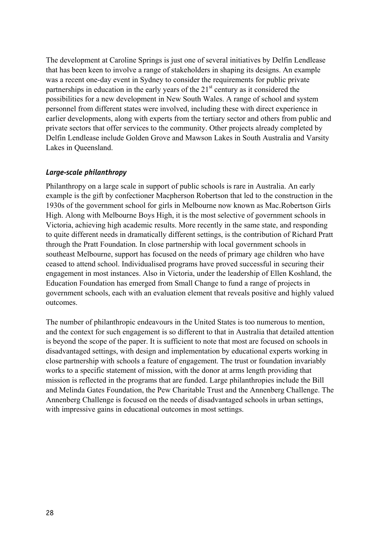The development at Caroline Springs is just one of several initiatives by Delfin Lendlease that has been keen to involve a range of stakeholders in shaping its designs. An example was a recent one-day event in Sydney to consider the requirements for public private partnerships in education in the early years of the  $21<sup>st</sup>$  century as it considered the possibilities for a new development in New South Wales. A range of school and system personnel from different states were involved, including these with direct experience in earlier developments, along with experts from the tertiary sector and others from public and private sectors that offer services to the community. Other projects already completed by Delfin Lendlease include Golden Grove and Mawson Lakes in South Australia and Varsity Lakes in Queensland.

#### *Large-scale philanthropy*

Philanthropy on a large scale in support of public schools is rare in Australia. An early example is the gift by confectioner Macpherson Robertson that led to the construction in the 1930s of the government school for girls in Melbourne now known as Mac.Robertson Girls High. Along with Melbourne Boys High, it is the most selective of government schools in Victoria, achieving high academic results. More recently in the same state, and responding to quite different needs in dramatically different settings, is the contribution of Richard Pratt through the Pratt Foundation. In close partnership with local government schools in southeast Melbourne, support has focused on the needs of primary age children who have ceased to attend school. Individualised programs have proved successful in securing their engagement in most instances. Also in Victoria, under the leadership of Ellen Koshland, the Education Foundation has emerged from Small Change to fund a range of projects in government schools, each with an evaluation element that reveals positive and highly valued outcomes.

The number of philanthropic endeavours in the United States is too numerous to mention, and the context for such engagement is so different to that in Australia that detailed attention is beyond the scope of the paper. It is sufficient to note that most are focused on schools in disadvantaged settings, with design and implementation by educational experts working in close partnership with schools a feature of engagement. The trust or foundation invariably works to a specific statement of mission, with the donor at arms length providing that mission is reflected in the programs that are funded. Large philanthropies include the Bill and Melinda Gates Foundation, the Pew Charitable Trust and the Annenberg Challenge. The Annenberg Challenge is focused on the needs of disadvantaged schools in urban settings, with impressive gains in educational outcomes in most settings.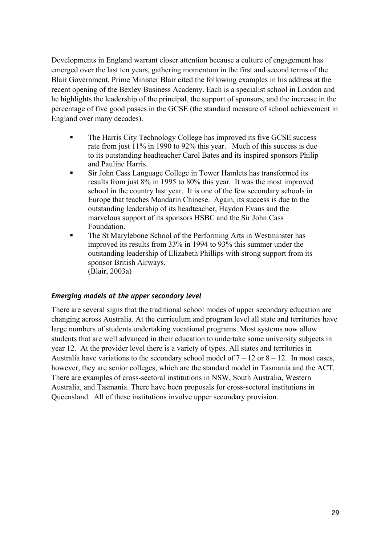Developments in England warrant closer attention because a culture of engagement has emerged over the last ten years, gathering momentum in the first and second terms of the Blair Government. Prime Minister Blair cited the following examples in his address at the recent opening of the Bexley Business Academy. Each is a specialist school in London and he highlights the leadership of the principal, the support of sponsors, and the increase in the percentage of five good passes in the GCSE (the standard measure of school achievement in England over many decades).

- The Harris City Technology College has improved its five GCSE success rate from just 11% in 1990 to 92% this year. Much of this success is due to its outstanding headteacher Carol Bates and its inspired sponsors Philip and Pauline Harris.
- Sir John Cass Language College in Tower Hamlets has transformed its results from just 8% in 1995 to 80% this year. It was the most improved school in the country last year. It is one of the few secondary schools in Europe that teaches Mandarin Chinese. Again, its success is due to the outstanding leadership of its headteacher, Haydon Evans and the marvelous support of its sponsors HSBC and the Sir John Cass Foundation.
- The St Marylebone School of the Performing Arts in Westminster has improved its results from 33% in 1994 to 93% this summer under the outstanding leadership of Elizabeth Phillips with strong support from its sponsor British Airways. (Blair, 2003a)

#### *Emerging models at the upper secondary level*

There are several signs that the traditional school modes of upper secondary education are changing across Australia. At the curriculum and program level all state and territories have large numbers of students undertaking vocational programs. Most systems now allow students that are well advanced in their education to undertake some university subjects in year 12. At the provider level there is a variety of types. All states and territories in Australia have variations to the secondary school model of  $7 - 12$  or  $8 - 12$ . In most cases, however, they are senior colleges, which are the standard model in Tasmania and the ACT. There are examples of cross-sectoral institutions in NSW, South Australia, Western Australia, and Tasmania. There have been proposals for cross-sectoral institutions in Queensland. All of these institutions involve upper secondary provision.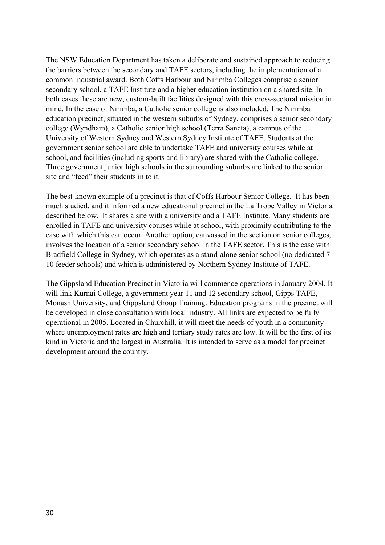The NSW Education Department has taken a deliberate and sustained approach to reducing the barriers between the secondary and TAFE sectors, including the implementation of a common industrial award. Both Coffs Harbour and Nirimba Colleges comprise a senior secondary school, a TAFE Institute and a higher education institution on a shared site. In both cases these are new, custom-built facilities designed with this cross-sectoral mission in mind. In the case of Nirimba, a Catholic senior college is also included. The Nirimba education precinct, situated in the western suburbs of Sydney, comprises a senior secondary college (Wyndham), a Catholic senior high school (Terra Sancta), a campus of the University of Western Sydney and Western Sydney Institute of TAFE. Students at the government senior school are able to undertake TAFE and university courses while at school, and facilities (including sports and library) are shared with the Catholic college. Three government junior high schools in the surrounding suburbs are linked to the senior site and "feed" their students in to it.

The best-known example of a precinct is that of Coffs Harbour Senior College. It has been much studied, and it informed a new educational precinct in the La Trobe Valley in Victoria described below. It shares a site with a university and a TAFE Institute. Many students are enrolled in TAFE and university courses while at school, with proximity contributing to the ease with which this can occur. Another option, canvassed in the section on senior colleges, involves the location of a senior secondary school in the TAFE sector. This is the case with Bradfield College in Sydney, which operates as a stand-alone senior school (no dedicated 7- 10 feeder schools) and which is administered by Northern Sydney Institute of TAFE.

The Gippsland Education Precinct in Victoria will commence operations in January 2004. It will link Kurnai College, a government year 11 and 12 secondary school, Gipps TAFE, Monash University, and Gippsland Group Training. Education programs in the precinct will be developed in close consultation with local industry. All links are expected to be fully operational in 2005. Located in Churchill, it will meet the needs of youth in a community where unemployment rates are high and tertiary study rates are low. It will be the first of its kind in Victoria and the largest in Australia. It is intended to serve as a model for precinct development around the country.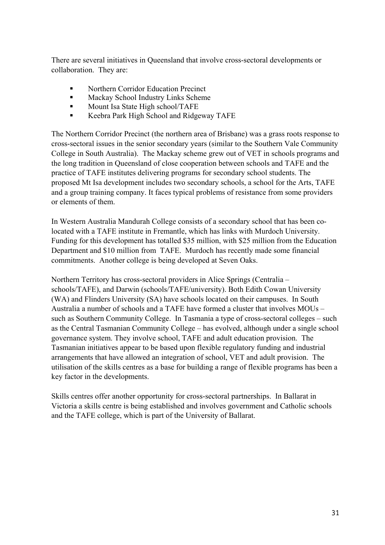There are several initiatives in Queensland that involve cross-sectoral developments or collaboration. They are:

- Northern Corridor Education Precinct
- **Mackay School Industry Links Scheme**
- **Mount Isa State High school/TAFE**
- Keebra Park High School and Ridgeway TAFE

The Northern Corridor Precinct (the northern area of Brisbane) was a grass roots response to cross-sectoral issues in the senior secondary years (similar to the Southern Vale Community College in South Australia). The Mackay scheme grew out of VET in schools programs and the long tradition in Queensland of close cooperation between schools and TAFE and the practice of TAFE institutes delivering programs for secondary school students. The proposed Mt Isa development includes two secondary schools, a school for the Arts, TAFE and a group training company. It faces typical problems of resistance from some providers or elements of them.

In Western Australia Mandurah College consists of a secondary school that has been colocated with a TAFE institute in Fremantle, which has links with Murdoch University. Funding for this development has totalled \$35 million, with \$25 million from the Education Department and \$10 million from TAFE. Murdoch has recently made some financial commitments. Another college is being developed at Seven Oaks.

Northern Territory has cross-sectoral providers in Alice Springs (Centralia – schools/TAFE), and Darwin (schools/TAFE/university). Both Edith Cowan University (WA) and Flinders University (SA) have schools located on their campuses. In South Australia a number of schools and a TAFE have formed a cluster that involves MOUs – such as Southern Community College. In Tasmania a type of cross-sectoral colleges – such as the Central Tasmanian Community College – has evolved, although under a single school governance system. They involve school, TAFE and adult education provision. The Tasmanian initiatives appear to be based upon flexible regulatory funding and industrial arrangements that have allowed an integration of school, VET and adult provision. The utilisation of the skills centres as a base for building a range of flexible programs has been a key factor in the developments.

Skills centres offer another opportunity for cross-sectoral partnerships. In Ballarat in Victoria a skills centre is being established and involves government and Catholic schools and the TAFE college, which is part of the University of Ballarat.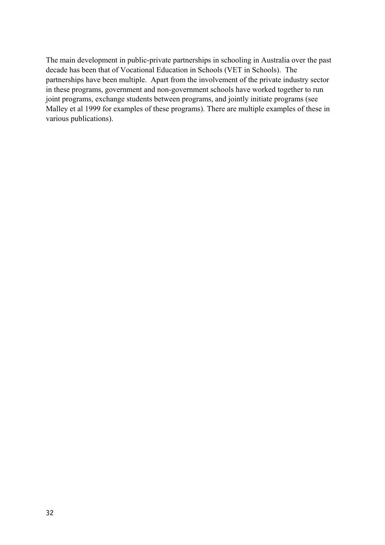The main development in public-private partnerships in schooling in Australia over the past decade has been that of Vocational Education in Schools (VET in Schools). The partnerships have been multiple. Apart from the involvement of the private industry sector in these programs, government and non-government schools have worked together to run joint programs, exchange students between programs, and jointly initiate programs (see Malley et al 1999 for examples of these programs). There are multiple examples of these in various publications).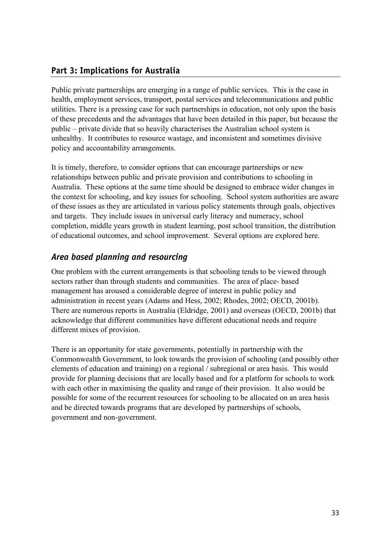## **Part 3: Implications for Australia**

Public private partnerships are emerging in a range of public services. This is the case in health, employment services, transport, postal services and telecommunications and public utilities. There is a pressing case for such partnerships in education, not only upon the basis of these precedents and the advantages that have been detailed in this paper, but because the public – private divide that so heavily characterises the Australian school system is unhealthy. It contributes to resource wastage, and inconsistent and sometimes divisive policy and accountability arrangements.

It is timely, therefore, to consider options that can encourage partnerships or new relationships between public and private provision and contributions to schooling in Australia. These options at the same time should be designed to embrace wider changes in the context for schooling, and key issues for schooling. School system authorities are aware of these issues as they are articulated in various policy statements through goals, objectives and targets. They include issues in universal early literacy and numeracy, school completion, middle years growth in student learning, post school transition, the distribution of educational outcomes, and school improvement. Several options are explored here.

# *Area based planning and resourcing*

One problem with the current arrangements is that schooling tends to be viewed through sectors rather than through students and communities. The area of place- based management has aroused a considerable degree of interest in public policy and administration in recent years (Adams and Hess, 2002; Rhodes, 2002; OECD, 2001b). There are numerous reports in Australia (Eldridge, 2001) and overseas (OECD, 2001b) that acknowledge that different communities have different educational needs and require different mixes of provision.

There is an opportunity for state governments, potentially in partnership with the Commonwealth Government, to look towards the provision of schooling (and possibly other elements of education and training) on a regional / subregional or area basis. This would provide for planning decisions that are locally based and for a platform for schools to work with each other in maximising the quality and range of their provision. It also would be possible for some of the recurrent resources for schooling to be allocated on an area basis and be directed towards programs that are developed by partnerships of schools, government and non-government.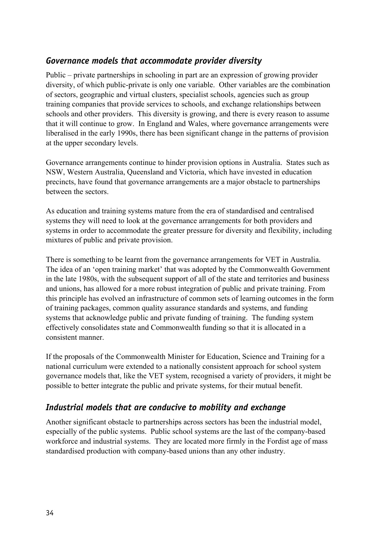## *Governance models that accommodate provider diversity*

Public – private partnerships in schooling in part are an expression of growing provider diversity, of which public-private is only one variable. Other variables are the combination of sectors, geographic and virtual clusters, specialist schools, agencies such as group training companies that provide services to schools, and exchange relationships between schools and other providers. This diversity is growing, and there is every reason to assume that it will continue to grow. In England and Wales, where governance arrangements were liberalised in the early 1990s, there has been significant change in the patterns of provision at the upper secondary levels.

Governance arrangements continue to hinder provision options in Australia. States such as NSW, Western Australia, Queensland and Victoria, which have invested in education precincts, have found that governance arrangements are a major obstacle to partnerships between the sectors.

As education and training systems mature from the era of standardised and centralised systems they will need to look at the governance arrangements for both providers and systems in order to accommodate the greater pressure for diversity and flexibility, including mixtures of public and private provision.

There is something to be learnt from the governance arrangements for VET in Australia. The idea of an 'open training market' that was adopted by the Commonwealth Government in the late 1980s, with the subsequent support of all of the state and territories and business and unions, has allowed for a more robust integration of public and private training. From this principle has evolved an infrastructure of common sets of learning outcomes in the form of training packages, common quality assurance standards and systems, and funding systems that acknowledge public and private funding of training. The funding system effectively consolidates state and Commonwealth funding so that it is allocated in a consistent manner.

If the proposals of the Commonwealth Minister for Education, Science and Training for a national curriculum were extended to a nationally consistent approach for school system governance models that, like the VET system, recognised a variety of providers, it might be possible to better integrate the public and private systems, for their mutual benefit.

## *Industrial models that are conducive to mobility and exchange*

Another significant obstacle to partnerships across sectors has been the industrial model, especially of the public systems. Public school systems are the last of the company-based workforce and industrial systems. They are located more firmly in the Fordist age of mass standardised production with company-based unions than any other industry.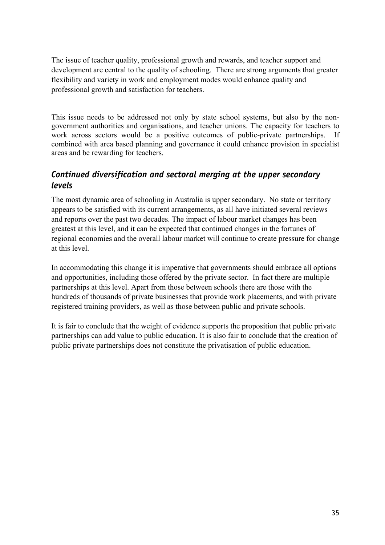The issue of teacher quality, professional growth and rewards, and teacher support and development are central to the quality of schooling. There are strong arguments that greater flexibility and variety in work and employment modes would enhance quality and professional growth and satisfaction for teachers.

This issue needs to be addressed not only by state school systems, but also by the nongovernment authorities and organisations, and teacher unions. The capacity for teachers to work across sectors would be a positive outcomes of public-private partnerships. If combined with area based planning and governance it could enhance provision in specialist areas and be rewarding for teachers.

# *Continued diversification and sectoral merging at the upper secondary levels*

The most dynamic area of schooling in Australia is upper secondary. No state or territory appears to be satisfied with its current arrangements, as all have initiated several reviews and reports over the past two decades. The impact of labour market changes has been greatest at this level, and it can be expected that continued changes in the fortunes of regional economies and the overall labour market will continue to create pressure for change at this level.

In accommodating this change it is imperative that governments should embrace all options and opportunities, including those offered by the private sector. In fact there are multiple partnerships at this level. Apart from those between schools there are those with the hundreds of thousands of private businesses that provide work placements, and with private registered training providers, as well as those between public and private schools.

It is fair to conclude that the weight of evidence supports the proposition that public private partnerships can add value to public education. It is also fair to conclude that the creation of public private partnerships does not constitute the privatisation of public education.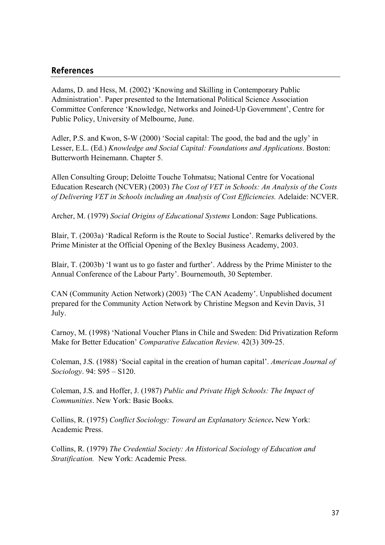#### **References**

Adams, D. and Hess, M. (2002) 'Knowing and Skilling in Contemporary Public Administration'. Paper presented to the International Political Science Association Committee Conference 'Knowledge, Networks and Joined-Up Government', Centre for Public Policy, University of Melbourne, June.

Adler, P.S. and Kwon, S-W (2000) 'Social capital: The good, the bad and the ugly' in Lesser, E.L. (Ed.) *Knowledge and Social Capital: Foundations and Applications*. Boston: Butterworth Heinemann. Chapter 5.

Allen Consulting Group; Deloitte Touche Tohmatsu; National Centre for Vocational Education Research (NCVER) (2003) *The Cost of VET in Schools: An Analysis of the Costs of Delivering VET in Schools including an Analysis of Cost Efficiencies.* Adelaide: NCVER.

Archer, M. (1979) *Social Origins of Educational Systems* London: Sage Publications.

Blair, T. (2003a) 'Radical Reform is the Route to Social Justice'. Remarks delivered by the Prime Minister at the Official Opening of the Bexley Business Academy, 2003.

Blair, T. (2003b) 'I want us to go faster and further'. Address by the Prime Minister to the Annual Conference of the Labour Party'. Bournemouth, 30 September.

CAN (Community Action Network) (2003) 'The CAN Academy'. Unpublished document prepared for the Community Action Network by Christine Megson and Kevin Davis, 31 July.

Carnoy, M. (1998) 'National Voucher Plans in Chile and Sweden: Did Privatization Reform Make for Better Education' *Comparative Education Review.* 42(3) 309-25.

Coleman, J.S. (1988) 'Social capital in the creation of human capital'. *American Journal of Sociology*. 94: S95 – S120.

Coleman, J.S. and Hoffer, J. (1987) *Public and Private High Schools: The Impact of Communities*. New York: Basic Books.

Collins, R. (1975) *Conflict Sociology: Toward an Explanatory Science***.** New York: Academic Press.

Collins, R. (1979) *The Credential Society: An Historical Sociology of Education and Stratification.* New York: Academic Press.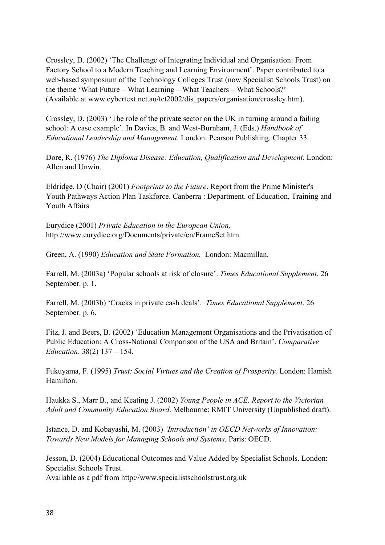Crossley, D. (2002) 'The Challenge of Integrating Individual and Organisation: From Factory School to a Modern Teaching and Learning Environment'. Paper contributed to a web-based symposium of the Technology Colleges Trust (now Specialist Schools Trust) on the theme 'What Future – What Learning – What Teachers – What Schools?' (Available at www.cybertext.net.au/tct2002/dis\_papers/organisation/crossley.htm).

Crossley, D. (2003) 'The role of the private sector on the UK in turning around a failing school: A case example'. In Davies, B. and West-Burnham, J. (Eds.) *Handbook of Educational Leadership and Management*. London: Pearson Publishing. Chapter 33.

Dore, R. (1976) *The Diploma Disease: Education, Qualification and Development.* London: Allen and Unwin.

Eldridge. D (Chair) (2001) *Footprints to the Future*. Report from the Prime Minister's Youth Pathways Action Plan Taskforce. Canberra : Department. of Education, Training and Youth Affairs

Eurydice (2001) *Private Education in the European Union,*  http://www.eurydice.org/Documents/private/en/FrameSet.htm

Green, A. (1990) *Education and State Formation.* London: Macmillan.

Farrell, M. (2003a) 'Popular schools at risk of closure'. *Times Educational Supplement*. 26 September. p. 1.

Farrell, M. (2003b) 'Cracks in private cash deals'. *Times Educational Supplement*. 26 September. p. 6.

Fitz, J. and Beers, B. (2002) 'Education Management Organisations and the Privatisation of Public Education: A Cross-National Comparison of the USA and Britain'. *Comparative Education*. 38(2) 137 – 154.

Fukuyama, F. (1995) *Trust: Social Virtues and the Creation of Prosperity.* London: Hamish Hamilton.

Haukka S., Marr B., and Keating J. (2002) *Young People in ACE. Report to the Victorian Adult and Community Education Board*. Melbourne: RMIT University (Unpublished draft).

Istance, D. and Kobayashi, M. (2003) *'Introduction' in OECD Networks of Innovation: Towards New Models for Managing Schools and Systems.* Paris: OECD.

Jesson, D. (2004) Educational Outcomes and Value Added by Specialist Schools. London: Specialist Schools Trust.

Available as a pdf from http://www.specialistschoolstrust.org.uk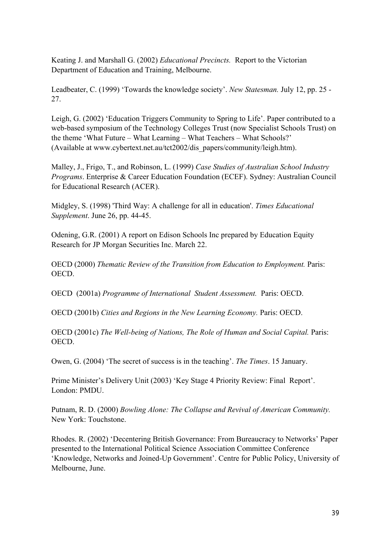Keating J. and Marshall G. (2002) *Educational Precincts.* Report to the Victorian Department of Education and Training, Melbourne.

Leadbeater, C. (1999) 'Towards the knowledge society'. *New Statesman.* July 12, pp. 25 - 27.

Leigh, G. (2002) 'Education Triggers Community to Spring to Life'. Paper contributed to a web-based symposium of the Technology Colleges Trust (now Specialist Schools Trust) on the theme 'What Future – What Learning – What Teachers – What Schools?' (Available at www.cybertext.net.au/tct2002/dis\_papers/community/leigh.htm).

Malley, J., Frigo, T., and Robinson, L. (1999) *Case Studies of Australian School Industry Programs*. Enterprise & Career Education Foundation (ECEF). Sydney: Australian Council for Educational Research (ACER).

Midgley, S. (1998) 'Third Way: A challenge for all in education'. *Times Educational Supplement*. June 26, pp. 44-45.

Odening, G.R. (2001) A report on Edison Schools Inc prepared by Education Equity Research for JP Morgan Securities Inc. March 22.

OECD (2000) *Thematic Review of the Transition from Education to Employment.* Paris: OECD.

OECD (2001a) *Programme of International Student Assessment.* Paris: OECD.

OECD (2001b) *Cities and Regions in the New Learning Economy.* Paris: OECD.

OECD (2001c) *The Well-being of Nations, The Role of Human and Social Capital.* Paris: OECD.

Owen, G. (2004) 'The secret of success is in the teaching'. *The Times*. 15 January.

Prime Minister's Delivery Unit (2003) 'Key Stage 4 Priority Review: Final Report'. London: PMDU.

Putnam, R. D. (2000) *Bowling Alone: The Collapse and Revival of American Community.* New York: Touchstone.

Rhodes. R. (2002) 'Decentering British Governance: From Bureaucracy to Networks' Paper presented to the International Political Science Association Committee Conference 'Knowledge, Networks and Joined-Up Government'. Centre for Public Policy, University of Melbourne, June.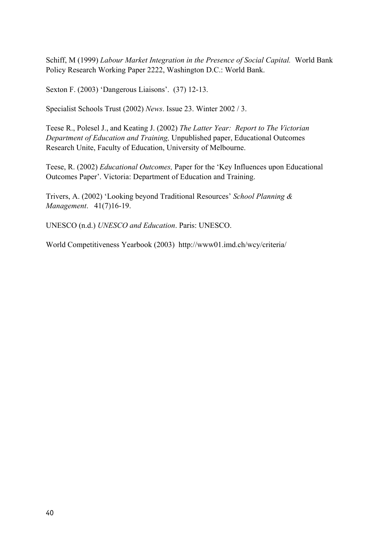Schiff, M (1999) *Labour Market Integration in the Presence of Social Capital.* World Bank Policy Research Working Paper 2222, Washington D.C.: World Bank.

Sexton F. (2003) 'Dangerous Liaisons'. (37) 12-13.

Specialist Schools Trust (2002) *News*. Issue 23. Winter 2002 / 3.

Teese R., Polesel J., and Keating J. (2002) *The Latter Year: Report to The Victorian Department of Education and Training,* Unpublished paper, Educational Outcomes Research Unite, Faculty of Education, University of Melbourne.

Teese, R. (2002) *Educational Outcomes,* Paper for the 'Key Influences upon Educational Outcomes Paper'. Victoria: Department of Education and Training.

Trivers, A. (2002) 'Looking beyond Traditional Resources' *School Planning & Management*. 41(7)16-19.

UNESCO (n.d.) *UNESCO and Education*. Paris: UNESCO.

World Competitiveness Yearbook (2003) http://www01.imd.ch/wcy/criteria/